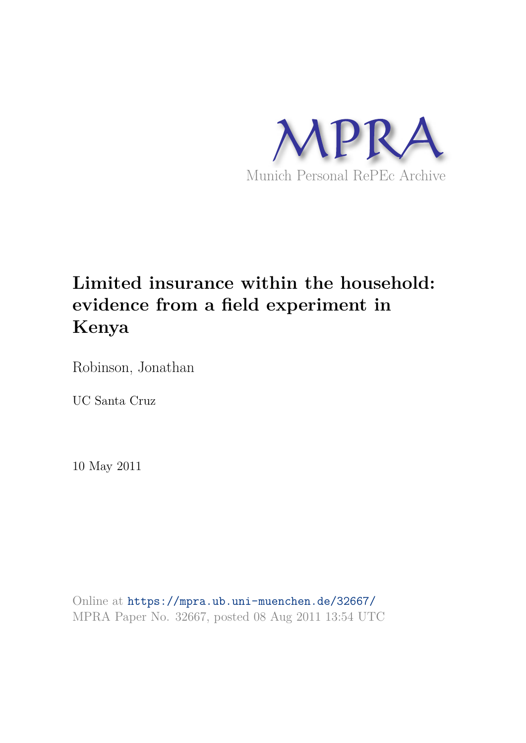

# **Limited insurance within the household: evidence from a field experiment in Kenya**

Robinson, Jonathan

UC Santa Cruz

10 May 2011

Online at https://mpra.ub.uni-muenchen.de/32667/ MPRA Paper No. 32667, posted 08 Aug 2011 13:54 UTC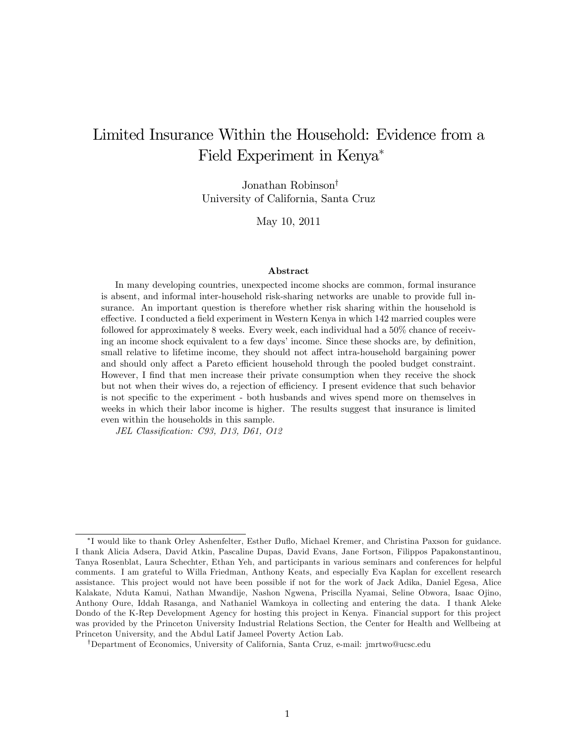## Limited Insurance Within the Household: Evidence from a Field Experiment in Kenya

Jonathan Robinson<sup>†</sup> University of California, Santa Cruz

May 10, 2011

#### Abstract

In many developing countries, unexpected income shocks are common, formal insurance is absent, and informal inter-household risk-sharing networks are unable to provide full insurance. An important question is therefore whether risk sharing within the household is effective. I conducted a field experiment in Western Kenya in which 142 married couples were followed for approximately 8 weeks. Every week, each individual had a 50% chance of receiving an income shock equivalent to a few days' income. Since these shocks are, by definition, small relative to lifetime income, they should not affect intra-household bargaining power and should only affect a Pareto efficient household through the pooled budget constraint. However, I find that men increase their private consumption when they receive the shock but not when their wives do, a rejection of efficiency. I present evidence that such behavior is not specific to the experiment - both husbands and wives spend more on themselves in weeks in which their labor income is higher. The results suggest that insurance is limited even within the households in this sample.

JEL Classification: C93, D13, D61, O12

<sup>&</sup>lt;sup>\*</sup>I would like to thank Orley Ashenfelter, Esther Duflo, Michael Kremer, and Christina Paxson for guidance. I thank Alicia Adsera, David Atkin, Pascaline Dupas, David Evans, Jane Fortson, Filippos Papakonstantinou, Tanya Rosenblat, Laura Schechter, Ethan Yeh, and participants in various seminars and conferences for helpful comments. I am grateful to Willa Friedman, Anthony Keats, and especially Eva Kaplan for excellent research assistance. This project would not have been possible if not for the work of Jack Adika, Daniel Egesa, Alice Kalakate, Nduta Kamui, Nathan Mwandije, Nashon Ngwena, Priscilla Nyamai, Seline Obwora, Isaac Ojino, Anthony Oure, Iddah Rasanga, and Nathaniel Wamkoya in collecting and entering the data. I thank Aleke Dondo of the K-Rep Development Agency for hosting this project in Kenya. Financial support for this project was provided by the Princeton University Industrial Relations Section, the Center for Health and Wellbeing at Princeton University, and the Abdul Latif Jameel Poverty Action Lab.

<sup>y</sup>Department of Economics, University of California, Santa Cruz, e-mail: jmrtwo@ucsc.edu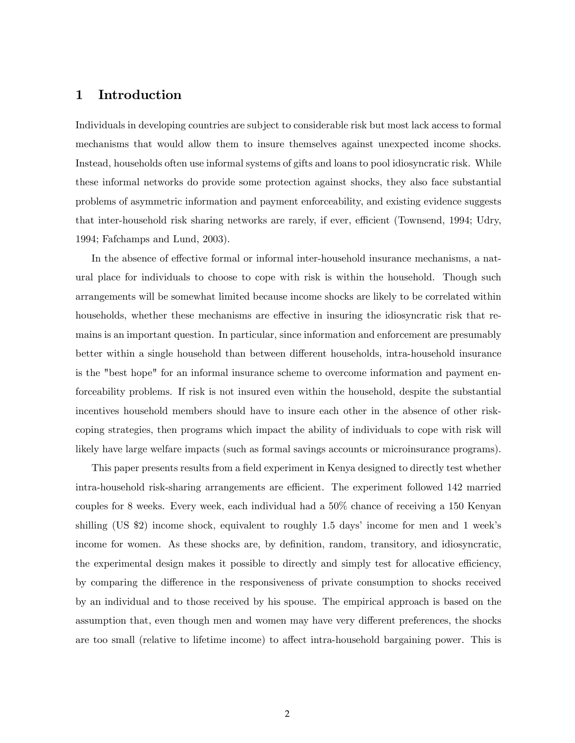## 1 Introduction

Individuals in developing countries are subject to considerable risk but most lack access to formal mechanisms that would allow them to insure themselves against unexpected income shocks. Instead, households often use informal systems of gifts and loans to pool idiosyncratic risk. While these informal networks do provide some protection against shocks, they also face substantial problems of asymmetric information and payment enforceability, and existing evidence suggests that inter-household risk sharing networks are rarely, if ever, efficient (Townsend, 1994; Udry, 1994; Fafchamps and Lund, 2003).

In the absence of effective formal or informal inter-household insurance mechanisms, a natural place for individuals to choose to cope with risk is within the household. Though such arrangements will be somewhat limited because income shocks are likely to be correlated within households, whether these mechanisms are effective in insuring the idiosyncratic risk that remains is an important question. In particular, since information and enforcement are presumably better within a single household than between different households, intra-household insurance is the "best hope" for an informal insurance scheme to overcome information and payment enforceability problems. If risk is not insured even within the household, despite the substantial incentives household members should have to insure each other in the absence of other riskcoping strategies, then programs which impact the ability of individuals to cope with risk will likely have large welfare impacts (such as formal savings accounts or microinsurance programs).

This paper presents results from a field experiment in Kenya designed to directly test whether intra-household risk-sharing arrangements are efficient. The experiment followed 142 married couples for 8 weeks. Every week, each individual had a 50% chance of receiving a 150 Kenyan shilling (US  $\&$ 2) income shock, equivalent to roughly 1.5 days' income for men and 1 week's income for women. As these shocks are, by definition, random, transitory, and idiosyncratic, the experimental design makes it possible to directly and simply test for allocative efficiency, by comparing the difference in the responsiveness of private consumption to shocks received by an individual and to those received by his spouse. The empirical approach is based on the assumption that, even though men and women may have very different preferences, the shocks are too small (relative to lifetime income) to affect intra-household bargaining power. This is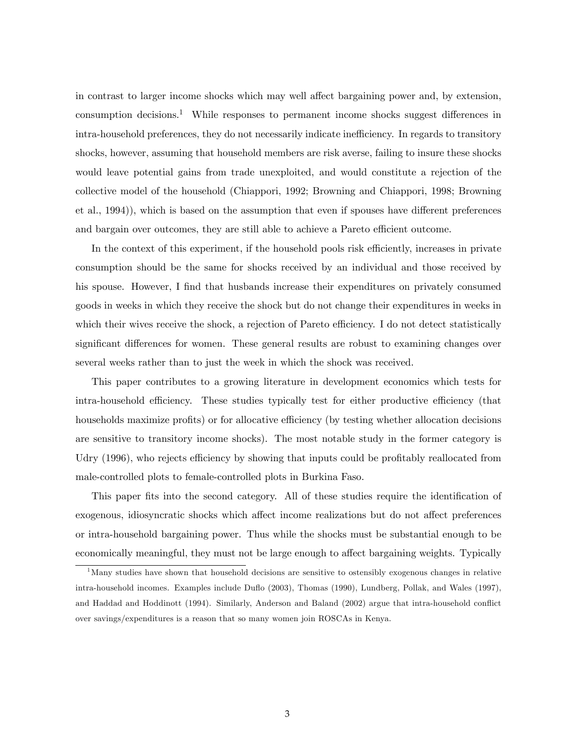in contrast to larger income shocks which may well affect bargaining power and, by extension, consumption decisions.<sup>1</sup> While responses to permanent income shocks suggest differences in intra-household preferences, they do not necessarily indicate inefficiency. In regards to transitory shocks, however, assuming that household members are risk averse, failing to insure these shocks would leave potential gains from trade unexploited, and would constitute a rejection of the collective model of the household (Chiappori, 1992; Browning and Chiappori, 1998; Browning et al., 1994), which is based on the assumption that even if spouses have different preferences and bargain over outcomes, they are still able to achieve a Pareto efficient outcome.

In the context of this experiment, if the household pools risk efficiently, increases in private consumption should be the same for shocks received by an individual and those received by his spouse. However, I find that husbands increase their expenditures on privately consumed goods in weeks in which they receive the shock but do not change their expenditures in weeks in which their wives receive the shock, a rejection of Pareto efficiency. I do not detect statistically significant differences for women. These general results are robust to examining changes over several weeks rather than to just the week in which the shock was received.

This paper contributes to a growing literature in development economics which tests for intra-household efficiency. These studies typically test for either productive efficiency (that households maximize profits) or for allocative efficiency (by testing whether allocation decisions are sensitive to transitory income shocks). The most notable study in the former category is Udry (1996), who rejects efficiency by showing that inputs could be profitably reallocated from male-controlled plots to female-controlled plots in Burkina Faso.

This paper fits into the second category. All of these studies require the identification of exogenous, idiosyncratic shocks which affect income realizations but do not affect preferences or intra-household bargaining power. Thus while the shocks must be substantial enough to be economically meaningful, they must not be large enough to affect bargaining weights. Typically

<sup>&</sup>lt;sup>1</sup>Many studies have shown that household decisions are sensitive to ostensibly exogenous changes in relative intra-household incomes. Examples include Duáo (2003), Thomas (1990), Lundberg, Pollak, and Wales (1997), and Haddad and Hoddinott (1994). Similarly, Anderson and Baland (2002) argue that intra-household conflict over savings/expenditures is a reason that so many women join ROSCAs in Kenya.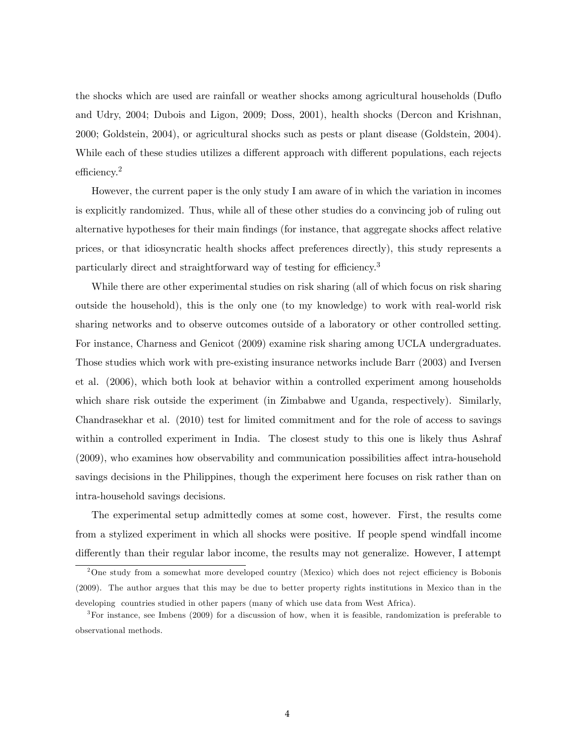the shocks which are used are rainfall or weather shocks among agricultural households (Duáo and Udry, 2004; Dubois and Ligon, 2009; Doss, 2001), health shocks (Dercon and Krishnan, 2000; Goldstein, 2004), or agricultural shocks such as pests or plant disease (Goldstein, 2004). While each of these studies utilizes a different approach with different populations, each rejects  $efficiency.<sup>2</sup>$ 

However, the current paper is the only study I am aware of in which the variation in incomes is explicitly randomized. Thus, while all of these other studies do a convincing job of ruling out alternative hypotheses for their main findings (for instance, that aggregate shocks affect relative prices, or that idiosyncratic health shocks affect preferences directly), this study represents a particularly direct and straightforward way of testing for efficiency.<sup>3</sup>

While there are other experimental studies on risk sharing (all of which focus on risk sharing outside the household), this is the only one (to my knowledge) to work with real-world risk sharing networks and to observe outcomes outside of a laboratory or other controlled setting. For instance, Charness and Genicot (2009) examine risk sharing among UCLA undergraduates. Those studies which work with pre-existing insurance networks include Barr (2003) and Iversen et al. (2006), which both look at behavior within a controlled experiment among households which share risk outside the experiment (in Zimbabwe and Uganda, respectively). Similarly, Chandrasekhar et al. (2010) test for limited commitment and for the role of access to savings within a controlled experiment in India. The closest study to this one is likely thus Ashraf  $(2009)$ , who examines how observability and communication possibilities affect intra-household savings decisions in the Philippines, though the experiment here focuses on risk rather than on intra-household savings decisions.

The experimental setup admittedly comes at some cost, however. First, the results come from a stylized experiment in which all shocks were positive. If people spend windfall income differently than their regular labor income, the results may not generalize. However, I attempt

 $2$ One study from a somewhat more developed country (Mexico) which does not reject efficiency is Bobonis (2009). The author argues that this may be due to better property rights institutions in Mexico than in the developing countries studied in other papers (many of which use data from West Africa).

<sup>3</sup>For instance, see Imbens (2009) for a discussion of how, when it is feasible, randomization is preferable to observational methods.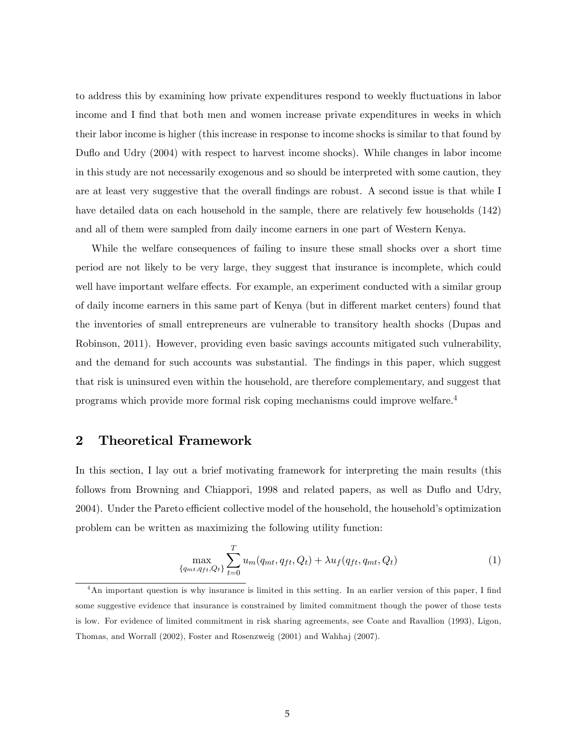to address this by examining how private expenditures respond to weekly fluctuations in labor income and I find that both men and women increase private expenditures in weeks in which their labor income is higher (this increase in response to income shocks is similar to that found by Dufto and Udry (2004) with respect to harvest income shocks). While changes in labor income in this study are not necessarily exogenous and so should be interpreted with some caution, they are at least very suggestive that the overall Öndings are robust. A second issue is that while I have detailed data on each household in the sample, there are relatively few households (142) and all of them were sampled from daily income earners in one part of Western Kenya.

While the welfare consequences of failing to insure these small shocks over a short time period are not likely to be very large, they suggest that insurance is incomplete, which could well have important welfare effects. For example, an experiment conducted with a similar group of daily income earners in this same part of Kenya (but in different market centers) found that the inventories of small entrepreneurs are vulnerable to transitory health shocks (Dupas and Robinson, 2011). However, providing even basic savings accounts mitigated such vulnerability, and the demand for such accounts was substantial. The findings in this paper, which suggest that risk is uninsured even within the household, are therefore complementary, and suggest that programs which provide more formal risk coping mechanisms could improve welfare.<sup>4</sup>

## 2 Theoretical Framework

In this section, I lay out a brief motivating framework for interpreting the main results (this follows from Browning and Chiappori, 1998 and related papers, as well as Duflo and Udry, 2004). Under the Pareto efficient collective model of the household, the household's optimization problem can be written as maximizing the following utility function:

$$
\max_{\{q_{mt}, q_{ft}, Q_t\}} \sum_{t=0}^{T} u_m(q_{mt}, q_{ft}, Q_t) + \lambda u_f(q_{ft}, q_{mt}, Q_t)
$$
\n(1)

<sup>&</sup>lt;sup>4</sup>An important question is why insurance is limited in this setting. In an earlier version of this paper, I find some suggestive evidence that insurance is constrained by limited commitment though the power of those tests is low. For evidence of limited commitment in risk sharing agreements, see Coate and Ravallion (1993), Ligon, Thomas, and Worrall (2002), Foster and Rosenzweig (2001) and Wahhaj (2007).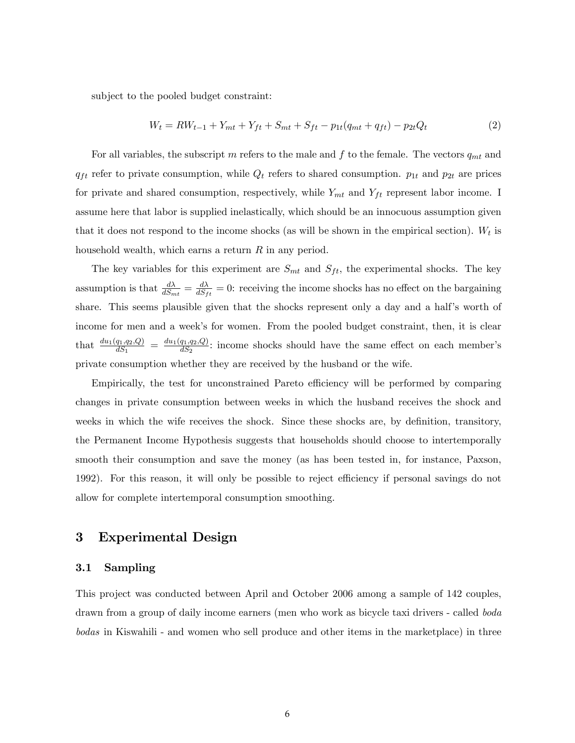subject to the pooled budget constraint:

$$
W_t = RW_{t-1} + Y_{mt} + Y_{ft} + S_{mt} + S_{ft} - p_{1t}(q_{mt} + q_{ft}) - p_{2t}Q_t
$$
\n
$$
(2)
$$

For all variables, the subscript m refers to the male and f to the female. The vectors  $q_{mt}$  and  $q_{ft}$  refer to private consumption, while  $Q_t$  refers to shared consumption.  $p_{1t}$  and  $p_{2t}$  are prices for private and shared consumption, respectively, while  $Y_{mt}$  and  $Y_{ft}$  represent labor income. I assume here that labor is supplied inelastically, which should be an innocuous assumption given that it does not respond to the income shocks (as will be shown in the empirical section).  $W_t$  is household wealth, which earns a return  $R$  in any period.

The key variables for this experiment are  $S_{mt}$  and  $S_{ft}$ , the experimental shocks. The key assumption is that  $\frac{d\lambda}{dS_{mt}} = \frac{d\lambda}{dS_f}$  $\frac{dA}{dS_{ft}} = 0$ : receiving the income shocks has no effect on the bargaining share. This seems plausible given that the shocks represent only a day and a half's worth of income for men and a week's for women. From the pooled budget constraint, then, it is clear that  $\frac{du_1(q_1,q_2,Q)}{dS_1} = \frac{du_1(q_1,q_2,Q)}{dS_2}$  $\frac{q_1, q_2, Q}{dS_2}$ : income shocks should have the same effect on each member's private consumption whether they are received by the husband or the wife.

Empirically, the test for unconstrained Pareto efficiency will be performed by comparing changes in private consumption between weeks in which the husband receives the shock and weeks in which the wife receives the shock. Since these shocks are, by definition, transitory, the Permanent Income Hypothesis suggests that households should choose to intertemporally smooth their consumption and save the money (as has been tested in, for instance, Paxson, 1992). For this reason, it will only be possible to reject efficiency if personal savings do not allow for complete intertemporal consumption smoothing.

### 3 Experimental Design

#### 3.1 Sampling

This project was conducted between April and October 2006 among a sample of 142 couples, drawn from a group of daily income earners (men who work as bicycle taxi drivers - called boda bodas in Kiswahili - and women who sell produce and other items in the marketplace) in three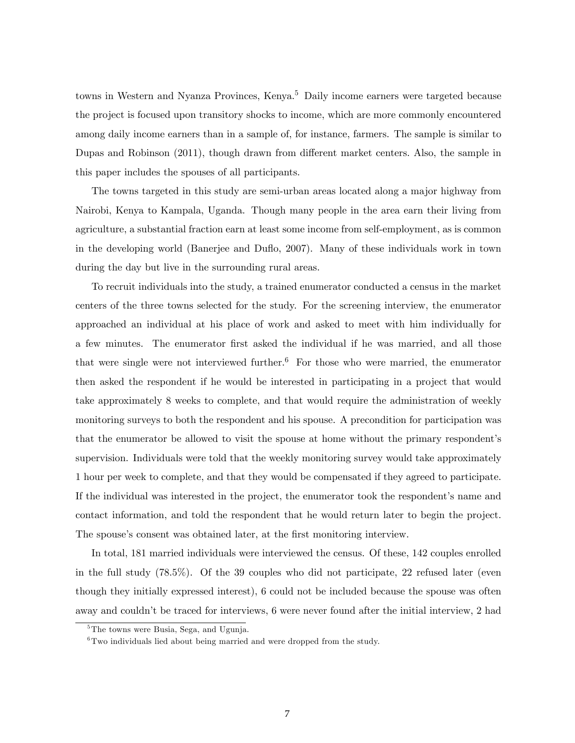towns in Western and Nyanza Provinces, Kenya.<sup>5</sup> Daily income earners were targeted because the project is focused upon transitory shocks to income, which are more commonly encountered among daily income earners than in a sample of, for instance, farmers. The sample is similar to Dupas and Robinson (2011), though drawn from different market centers. Also, the sample in this paper includes the spouses of all participants.

The towns targeted in this study are semi-urban areas located along a major highway from Nairobi, Kenya to Kampala, Uganda. Though many people in the area earn their living from agriculture, a substantial fraction earn at least some income from self-employment, as is common in the developing world (Banerjee and Duáo, 2007). Many of these individuals work in town during the day but live in the surrounding rural areas.

To recruit individuals into the study, a trained enumerator conducted a census in the market centers of the three towns selected for the study. For the screening interview, the enumerator approached an individual at his place of work and asked to meet with him individually for a few minutes. The enumerator first asked the individual if he was married, and all those that were single were not interviewed further.<sup>6</sup> For those who were married, the enumerator then asked the respondent if he would be interested in participating in a project that would take approximately 8 weeks to complete, and that would require the administration of weekly monitoring surveys to both the respondent and his spouse. A precondition for participation was that the enumerator be allowed to visit the spouse at home without the primary respondent's supervision. Individuals were told that the weekly monitoring survey would take approximately 1 hour per week to complete, and that they would be compensated if they agreed to participate. If the individual was interested in the project, the enumerator took the respondent's name and contact information, and told the respondent that he would return later to begin the project. The spouse's consent was obtained later, at the first monitoring interview.

In total, 181 married individuals were interviewed the census. Of these, 142 couples enrolled in the full study (78.5%). Of the 39 couples who did not participate, 22 refused later (even though they initially expressed interest), 6 could not be included because the spouse was often away and couldn't be traced for interviews, 6 were never found after the initial interview, 2 had

<sup>&</sup>lt;sup>5</sup>The towns were Busia, Sega, and Ugunja.

 ${}^{6}$ Two individuals lied about being married and were dropped from the study.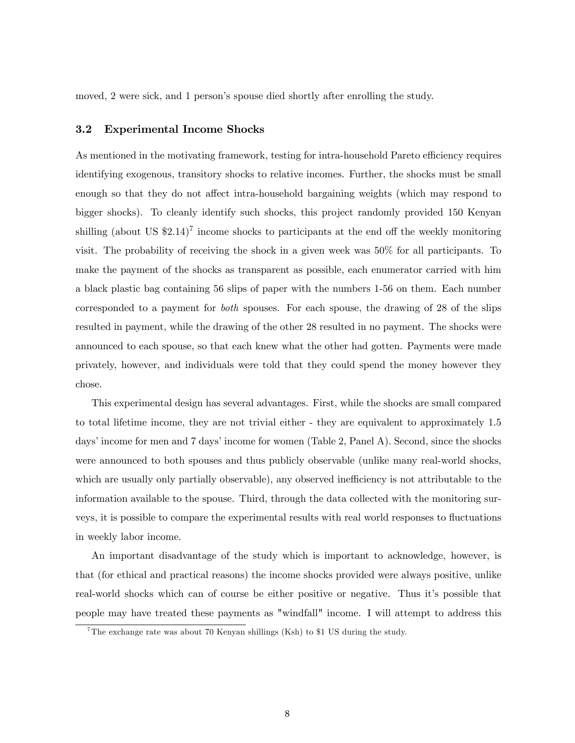moved, 2 were sick, and 1 person's spouse died shortly after enrolling the study.

#### 3.2 Experimental Income Shocks

As mentioned in the motivating framework, testing for intra-household Pareto efficiency requires identifying exogenous, transitory shocks to relative incomes. Further, the shocks must be small enough so that they do not affect intra-household bargaining weights (which may respond to bigger shocks). To cleanly identify such shocks, this project randomly provided 150 Kenyan shilling (about US  $$2.14$ )<sup>7</sup> income shocks to participants at the end off the weekly monitoring visit. The probability of receiving the shock in a given week was 50% for all participants. To make the payment of the shocks as transparent as possible, each enumerator carried with him a black plastic bag containing 56 slips of paper with the numbers 1-56 on them. Each number corresponded to a payment for both spouses. For each spouse, the drawing of 28 of the slips resulted in payment, while the drawing of the other 28 resulted in no payment. The shocks were announced to each spouse, so that each knew what the other had gotten. Payments were made privately, however, and individuals were told that they could spend the money however they chose.

This experimental design has several advantages. First, while the shocks are small compared to total lifetime income, they are not trivial either - they are equivalent to approximately 1.5 days' income for men and 7 days' income for women (Table 2, Panel A). Second, since the shocks were announced to both spouses and thus publicly observable (unlike many real-world shocks, which are usually only partially observable), any observed inefficiency is not attributable to the information available to the spouse. Third, through the data collected with the monitoring surveys, it is possible to compare the experimental results with real world responses to fluctuations in weekly labor income.

An important disadvantage of the study which is important to acknowledge, however, is that (for ethical and practical reasons) the income shocks provided were always positive, unlike real-world shocks which can of course be either positive or negative. Thus itís possible that people may have treated these payments as "windfall" income. I will attempt to address this

<sup>&</sup>lt;sup>7</sup>The exchange rate was about 70 Kenyan shillings (Ksh) to \$1 US during the study.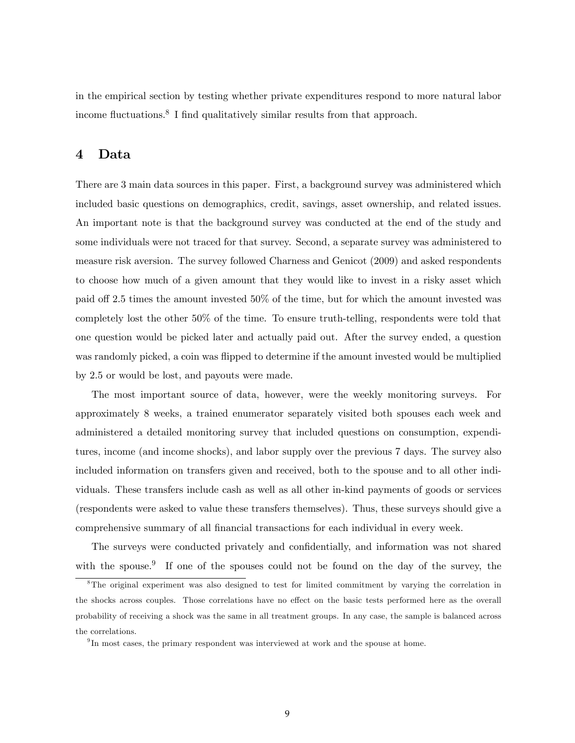in the empirical section by testing whether private expenditures respond to more natural labor income fluctuations.<sup>8</sup> I find qualitatively similar results from that approach.

## 4 Data

There are 3 main data sources in this paper. First, a background survey was administered which included basic questions on demographics, credit, savings, asset ownership, and related issues. An important note is that the background survey was conducted at the end of the study and some individuals were not traced for that survey. Second, a separate survey was administered to measure risk aversion. The survey followed Charness and Genicot (2009) and asked respondents to choose how much of a given amount that they would like to invest in a risky asset which paid off 2.5 times the amount invested  $50\%$  of the time, but for which the amount invested was completely lost the other 50% of the time. To ensure truth-telling, respondents were told that one question would be picked later and actually paid out. After the survey ended, a question was randomly picked, a coin was flipped to determine if the amount invested would be multiplied by 2.5 or would be lost, and payouts were made.

The most important source of data, however, were the weekly monitoring surveys. For approximately 8 weeks, a trained enumerator separately visited both spouses each week and administered a detailed monitoring survey that included questions on consumption, expenditures, income (and income shocks), and labor supply over the previous 7 days. The survey also included information on transfers given and received, both to the spouse and to all other individuals. These transfers include cash as well as all other in-kind payments of goods or services (respondents were asked to value these transfers themselves). Thus, these surveys should give a comprehensive summary of all financial transactions for each individual in every week.

The surveys were conducted privately and confidentially, and information was not shared with the spouse.<sup>9</sup> If one of the spouses could not be found on the day of the survey, the

<sup>8</sup>The original experiment was also designed to test for limited commitment by varying the correlation in the shocks across couples. Those correlations have no effect on the basic tests performed here as the overall probability of receiving a shock was the same in all treatment groups. In any case, the sample is balanced across the correlations.

<sup>&</sup>lt;sup>9</sup>In most cases, the primary respondent was interviewed at work and the spouse at home.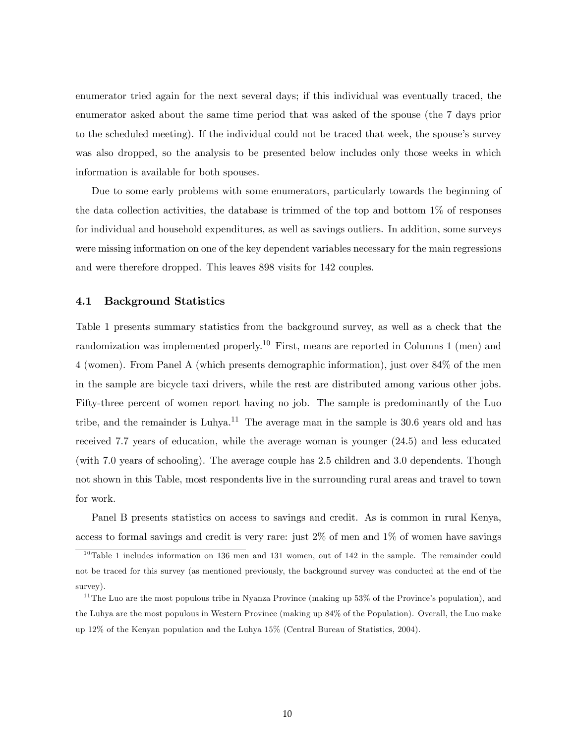enumerator tried again for the next several days; if this individual was eventually traced, the enumerator asked about the same time period that was asked of the spouse (the 7 days prior to the scheduled meeting). If the individual could not be traced that week, the spouse's survey was also dropped, so the analysis to be presented below includes only those weeks in which information is available for both spouses.

Due to some early problems with some enumerators, particularly towards the beginning of the data collection activities, the database is trimmed of the top and bottom 1% of responses for individual and household expenditures, as well as savings outliers. In addition, some surveys were missing information on one of the key dependent variables necessary for the main regressions and were therefore dropped. This leaves 898 visits for 142 couples.

#### 4.1 Background Statistics

Table 1 presents summary statistics from the background survey, as well as a check that the randomization was implemented properly.<sup>10</sup> First, means are reported in Columns 1 (men) and 4 (women). From Panel A (which presents demographic information), just over 84% of the men in the sample are bicycle taxi drivers, while the rest are distributed among various other jobs. Fifty-three percent of women report having no job. The sample is predominantly of the Luo tribe, and the remainder is Luhya.<sup>11</sup> The average man in the sample is  $30.6$  years old and has received 7.7 years of education, while the average woman is younger (24.5) and less educated (with 7.0 years of schooling). The average couple has 2.5 children and 3.0 dependents. Though not shown in this Table, most respondents live in the surrounding rural areas and travel to town for work.

Panel B presents statistics on access to savings and credit. As is common in rural Kenya, access to formal savings and credit is very rare: just 2% of men and 1% of women have savings

 $10$ Table 1 includes information on 136 men and 131 women, out of 142 in the sample. The remainder could not be traced for this survey (as mentioned previously, the background survey was conducted at the end of the survey).

 $11$ The Luo are the most populous tribe in Nyanza Province (making up 53% of the Province's population), and the Luhya are the most populous in Western Province (making up 84% of the Population). Overall, the Luo make up 12% of the Kenyan population and the Luhya 15% (Central Bureau of Statistics, 2004).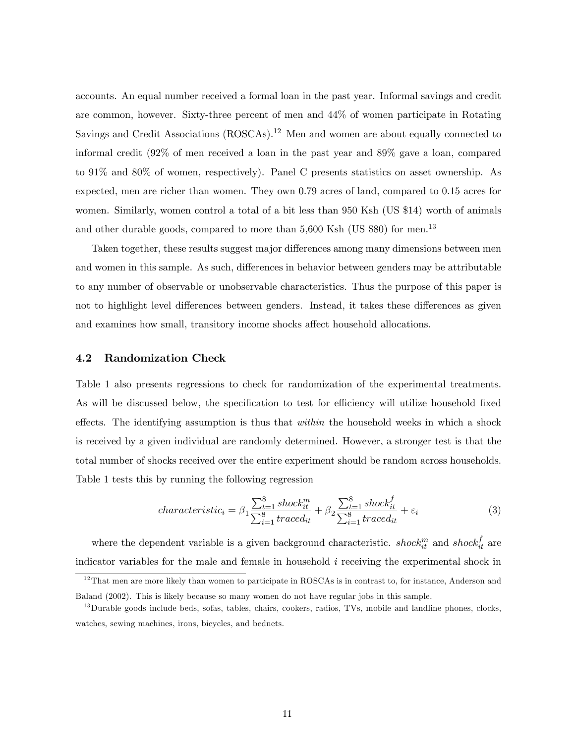accounts. An equal number received a formal loan in the past year. Informal savings and credit are common, however. Sixty-three percent of men and 44% of women participate in Rotating Savings and Credit Associations (ROSCAs).<sup>12</sup> Men and women are about equally connected to informal credit (92% of men received a loan in the past year and 89% gave a loan, compared to 91% and 80% of women, respectively). Panel C presents statistics on asset ownership. As expected, men are richer than women. They own 0.79 acres of land, compared to 0.15 acres for women. Similarly, women control a total of a bit less than 950 Ksh (US \$14) worth of animals and other durable goods, compared to more than  $5,600$  Ksh (US \$80) for men.<sup>13</sup>

Taken together, these results suggest major differences among many dimensions between men and women in this sample. As such, differences in behavior between genders may be attributable to any number of observable or unobservable characteristics. Thus the purpose of this paper is not to highlight level differences between genders. Instead, it takes these differences as given and examines how small, transitory income shocks affect household allocations.

#### 4.2 Randomization Check

Table 1 also presents regressions to check for randomization of the experimental treatments. As will be discussed below, the specification to test for efficiency will utilize household fixed effects. The identifying assumption is thus that *within* the household weeks in which a shock is received by a given individual are randomly determined. However, a stronger test is that the total number of shocks received over the entire experiment should be random across households. Table 1 tests this by running the following regression

$$
characteristic_i = \beta_1 \frac{\sum_{t=1}^{8} shock_{it}^{m}}{\sum_{i=1}^{8} traced_{it}} + \beta_2 \frac{\sum_{t=1}^{8} shock_{it}^{f}}{\sum_{i=1}^{8} traced_{it}} + \varepsilon_i
$$
(3)

where the dependent variable is a given background characteristic. *shock*<sup>*m*</sup><sub>it</sub> and *shock*<sup>*f*</sup><sub>it</sub> are indicator variables for the male and female in household i receiving the experimental shock in

 $12$ That men are more likely than women to participate in ROSCAs is in contrast to, for instance, Anderson and Baland (2002). This is likely because so many women do not have regular jobs in this sample.

 $^{13}$ Durable goods include beds, sofas, tables, chairs, cookers, radios, TVs, mobile and landline phones, clocks, watches, sewing machines, irons, bicycles, and bednets.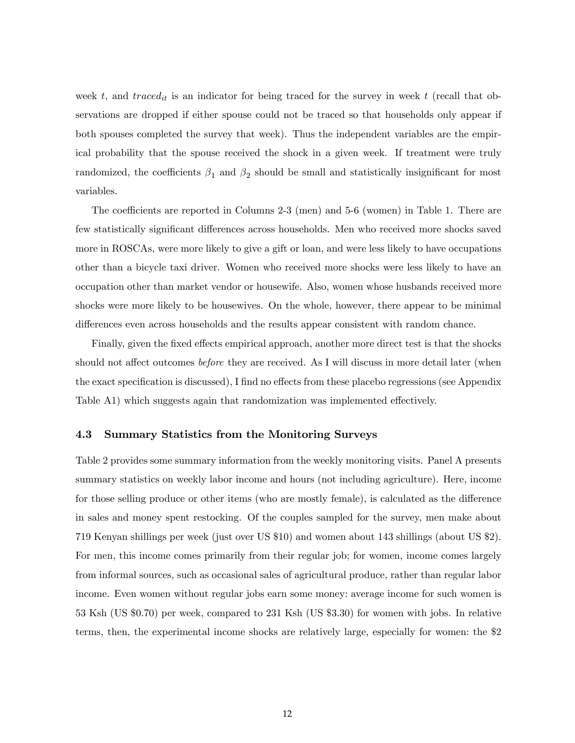week t, and  $trace_{it}$  is an indicator for being traced for the survey in week t (recall that observations are dropped if either spouse could not be traced so that households only appear if both spouses completed the survey that week). Thus the independent variables are the empirical probability that the spouse received the shock in a given week. If treatment were truly randomized, the coefficients  $\beta_1$  and  $\beta_2$  should be small and statistically insignificant for most variables.

The coefficients are reported in Columns  $2-3$  (men) and  $5-6$  (women) in Table 1. There are few statistically significant differences across households. Men who received more shocks saved more in ROSCAs, were more likely to give a gift or loan, and were less likely to have occupations other than a bicycle taxi driver. Women who received more shocks were less likely to have an occupation other than market vendor or housewife. Also, women whose husbands received more shocks were more likely to be housewives. On the whole, however, there appear to be minimal differences even across households and the results appear consistent with random chance.

Finally, given the fixed effects empirical approach, another more direct test is that the shocks should not affect outcomes *before* they are received. As I will discuss in more detail later (when the exact specification is discussed), I find no effects from these placebo regressions (see Appendix Table A1) which suggests again that randomization was implemented effectively.

#### 4.3 Summary Statistics from the Monitoring Surveys

Table 2 provides some summary information from the weekly monitoring visits. Panel A presents summary statistics on weekly labor income and hours (not including agriculture). Here, income for those selling produce or other items (who are mostly female), is calculated as the difference in sales and money spent restocking. Of the couples sampled for the survey, men make about 719 Kenyan shillings per week (just over US \$10) and women about 143 shillings (about US \$2). For men, this income comes primarily from their regular job; for women, income comes largely from informal sources, such as occasional sales of agricultural produce, rather than regular labor income. Even women without regular jobs earn some money: average income for such women is 53 Ksh (US \$0.70) per week, compared to 231 Ksh (US \$3.30) for women with jobs. In relative terms, then, the experimental income shocks are relatively large, especially for women: the \$2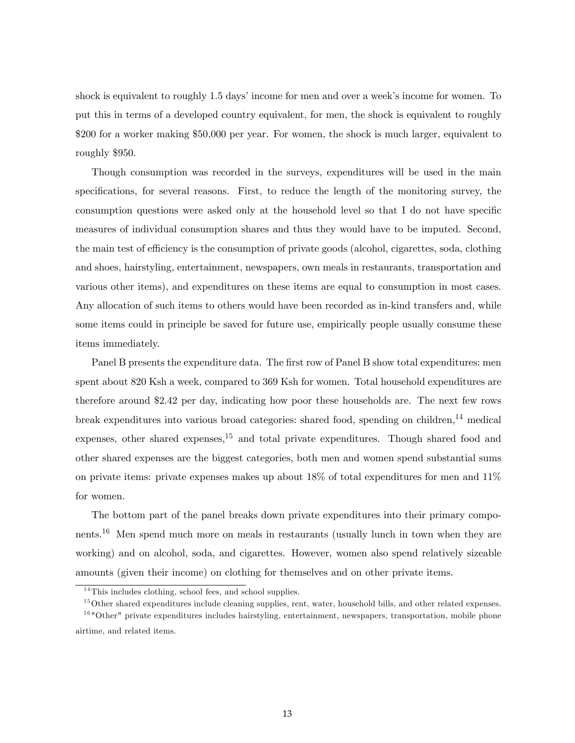shock is equivalent to roughly 1.5 days' income for men and over a week's income for women. To put this in terms of a developed country equivalent, for men, the shock is equivalent to roughly \$200 for a worker making \$50,000 per year. For women, the shock is much larger, equivalent to roughly \$950.

Though consumption was recorded in the surveys, expenditures will be used in the main specifications, for several reasons. First, to reduce the length of the monitoring survey, the consumption questions were asked only at the household level so that I do not have specific measures of individual consumption shares and thus they would have to be imputed. Second, the main test of efficiency is the consumption of private goods (alcohol, cigarettes, soda, clothing and shoes, hairstyling, entertainment, newspapers, own meals in restaurants, transportation and various other items), and expenditures on these items are equal to consumption in most cases. Any allocation of such items to others would have been recorded as in-kind transfers and, while some items could in principle be saved for future use, empirically people usually consume these items immediately.

Panel B presents the expenditure data. The first row of Panel B show total expenditures: men spent about 820 Ksh a week, compared to 369 Ksh for women. Total household expenditures are therefore around \$2.42 per day, indicating how poor these households are. The next few rows break expenditures into various broad categories: shared food, spending on children,<sup>14</sup> medical expenses, other shared expenses,<sup>15</sup> and total private expenditures. Though shared food and other shared expenses are the biggest categories, both men and women spend substantial sums on private items: private expenses makes up about  $18\%$  of total expenditures for men and  $11\%$ for women.

The bottom part of the panel breaks down private expenditures into their primary components.<sup>16</sup> Men spend much more on meals in restaurants (usually lunch in town when they are working) and on alcohol, soda, and cigarettes. However, women also spend relatively sizeable amounts (given their income) on clothing for themselves and on other private items.

 $14$ This includes clothing, school fees, and school supplies.

 $15$ Other shared expenditures include cleaning supplies, rent, water, household bills, and other related expenses. <sup>16</sup> "Other" private expenditures includes hairstyling, entertainment, newspapers, transportation, mobile phone

airtime, and related items.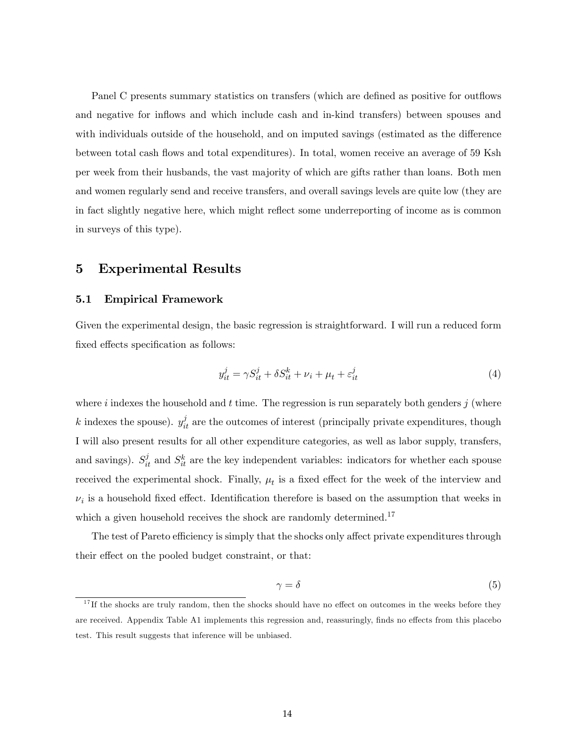Panel C presents summary statistics on transfers (which are defined as positive for outflows and negative for inflows and which include cash and in-kind transfers) between spouses and with individuals outside of the household, and on imputed savings (estimated as the difference between total cash flows and total expenditures). In total, women receive an average of 59 Ksh per week from their husbands, the vast majority of which are gifts rather than loans. Both men and women regularly send and receive transfers, and overall savings levels are quite low (they are in fact slightly negative here, which might reflect some underreporting of income as is common in surveys of this type).

### 5 Experimental Results

#### 5.1 Empirical Framework

Given the experimental design, the basic regression is straightforward. I will run a reduced form fixed effects specification as follows:

$$
y_{it}^j = \gamma S_{it}^j + \delta S_{it}^k + \nu_i + \mu_t + \varepsilon_{it}^j \tag{4}
$$

where i indexes the household and t time. The regression is run separately both genders j (where k indexes the spouse).  $y_{it}^j$  are the outcomes of interest (principally private expenditures, though I will also present results for all other expenditure categories, as well as labor supply, transfers, and savings).  $S_{it}^{j}$  and  $S_{it}^{k}$  are the key independent variables: indicators for whether each spouse received the experimental shock. Finally,  $\mu_t$  is a fixed effect for the week of the interview and  $\nu_i$  is a household fixed effect. Identification therefore is based on the assumption that weeks in which a given household receives the shock are randomly determined.<sup>17</sup>

The test of Pareto efficiency is simply that the shocks only affect private expenditures through their effect on the pooled budget constraint, or that:

$$
\gamma = \delta \tag{5}
$$

 $17$  If the shocks are truly random, then the shocks should have no effect on outcomes in the weeks before they are received. Appendix Table A1 implements this regression and, reassuringly, finds no effects from this placebo test. This result suggests that inference will be unbiased.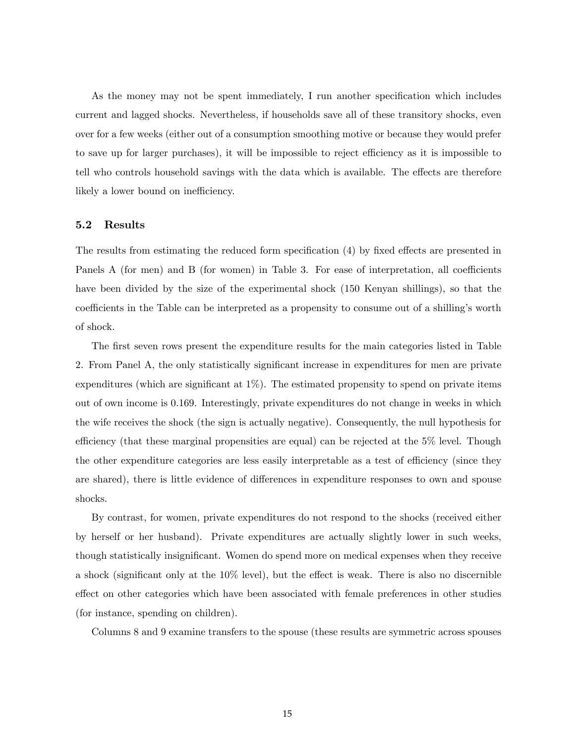As the money may not be spent immediately, I run another specification which includes current and lagged shocks. Nevertheless, if households save all of these transitory shocks, even over for a few weeks (either out of a consumption smoothing motive or because they would prefer to save up for larger purchases), it will be impossible to reject efficiency as it is impossible to tell who controls household savings with the data which is available. The effects are therefore likely a lower bound on inefficiency.

#### 5.2 Results

The results from estimating the reduced form specification  $(4)$  by fixed effects are presented in Panels A (for men) and B (for women) in Table 3. For ease of interpretation, all coefficients have been divided by the size of the experimental shock (150 Kenyan shillings), so that the coefficients in the Table can be interpreted as a propensity to consume out of a shilling's worth of shock.

The first seven rows present the expenditure results for the main categories listed in Table 2. From Panel A, the only statistically significant increase in expenditures for men are private expenditures (which are significant at  $1\%$ ). The estimated propensity to spend on private items out of own income is 0.169. Interestingly, private expenditures do not change in weeks in which the wife receives the shock (the sign is actually negative). Consequently, the null hypothesis for efficiency (that these marginal propensities are equal) can be rejected at the  $5\%$  level. Though the other expenditure categories are less easily interpretable as a test of efficiency (since they are shared), there is little evidence of differences in expenditure responses to own and spouse shocks.

By contrast, for women, private expenditures do not respond to the shocks (received either by herself or her husband). Private expenditures are actually slightly lower in such weeks, though statistically insignificant. Women do spend more on medical expenses when they receive a shock (significant only at the  $10\%$  level), but the effect is weak. There is also no discernible effect on other categories which have been associated with female preferences in other studies (for instance, spending on children).

Columns 8 and 9 examine transfers to the spouse (these results are symmetric across spouses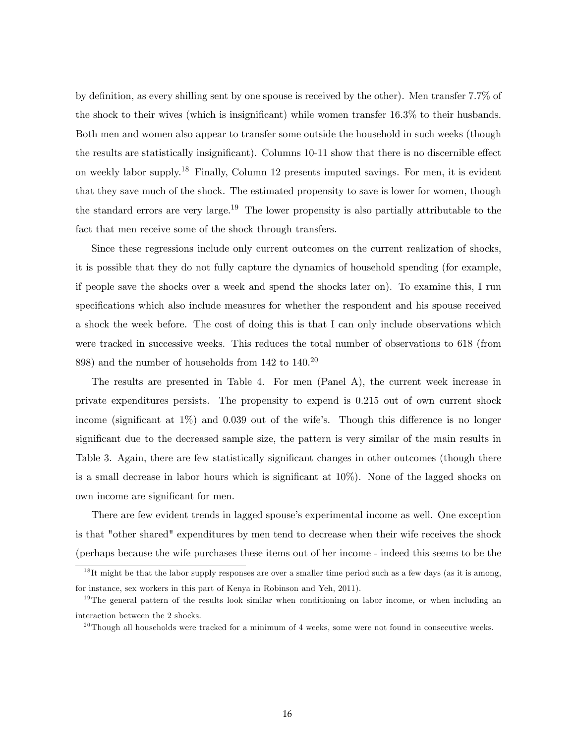by definition, as every shilling sent by one spouse is received by the other). Men transfer 7.7% of the shock to their wives (which is insignificant) while women transfer  $16.3\%$  to their husbands. Both men and women also appear to transfer some outside the household in such weeks (though the results are statistically insignificant). Columns 10-11 show that there is no discernible effect on weekly labor supply.<sup>18</sup> Finally, Column 12 presents imputed savings. For men, it is evident that they save much of the shock. The estimated propensity to save is lower for women, though the standard errors are very large.<sup>19</sup> The lower propensity is also partially attributable to the fact that men receive some of the shock through transfers.

Since these regressions include only current outcomes on the current realization of shocks, it is possible that they do not fully capture the dynamics of household spending (for example, if people save the shocks over a week and spend the shocks later on). To examine this, I run specifications which also include measures for whether the respondent and his spouse received a shock the week before. The cost of doing this is that I can only include observations which were tracked in successive weeks. This reduces the total number of observations to 618 (from 898) and the number of households from 142 to 140.<sup>20</sup>

The results are presented in Table 4. For men (Panel A), the current week increase in private expenditures persists. The propensity to expend is 0.215 out of own current shock income (significant at  $1\%$ ) and 0.039 out of the wife's. Though this difference is no longer significant due to the decreased sample size, the pattern is very similar of the main results in Table 3. Again, there are few statistically significant changes in other outcomes (though there is a small decrease in labor hours which is significant at  $10\%$ ). None of the lagged shocks on own income are significant for men.

There are few evident trends in lagged spouse's experimental income as well. One exception is that "other shared" expenditures by men tend to decrease when their wife receives the shock (perhaps because the wife purchases these items out of her income - indeed this seems to be the

 $1<sup>8</sup>$ It might be that the labor supply responses are over a smaller time period such as a few days (as it is among, for instance, sex workers in this part of Kenya in Robinson and Yeh, 2011).

<sup>&</sup>lt;sup>19</sup>The general pattern of the results look similar when conditioning on labor income, or when including an interaction between the 2 shocks.

 $^{20}$ Though all households were tracked for a minimum of 4 weeks, some were not found in consecutive weeks.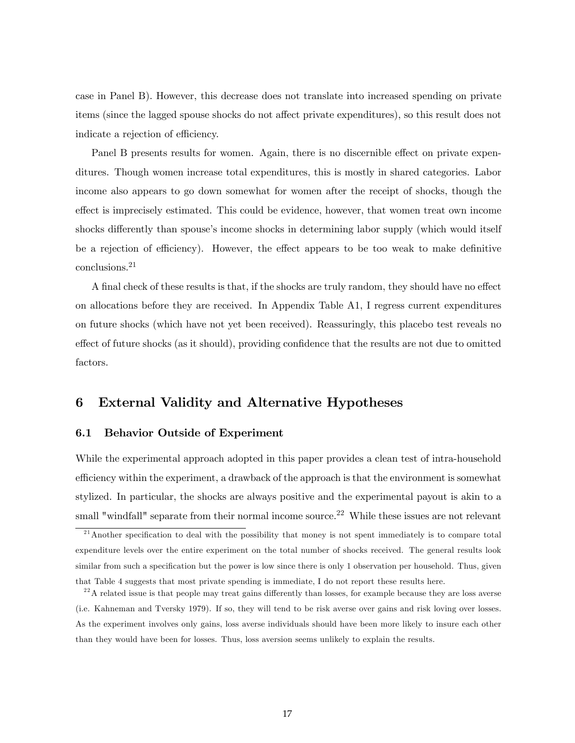case in Panel B). However, this decrease does not translate into increased spending on private items (since the lagged spouse shocks do not affect private expenditures), so this result does not indicate a rejection of efficiency.

Panel B presents results for women. Again, there is no discernible effect on private expenditures. Though women increase total expenditures, this is mostly in shared categories. Labor income also appears to go down somewhat for women after the receipt of shocks, though the effect is imprecisely estimated. This could be evidence, however, that women treat own income shocks differently than spouse's income shocks in determining labor supply (which would itself be a rejection of efficiency). However, the effect appears to be too weak to make definitive conclusions.<sup>21</sup>

A final check of these results is that, if the shocks are truly random, they should have no effect on allocations before they are received. In Appendix Table A1, I regress current expenditures on future shocks (which have not yet been received). Reassuringly, this placebo test reveals no effect of future shocks (as it should), providing confidence that the results are not due to omitted factors.

## 6 External Validity and Alternative Hypotheses

#### 6.1 Behavior Outside of Experiment

While the experimental approach adopted in this paper provides a clean test of intra-household efficiency within the experiment, a drawback of the approach is that the environment is somewhat stylized. In particular, the shocks are always positive and the experimental payout is akin to a small "windfall" separate from their normal income source.<sup>22</sup> While these issues are not relevant

 $\frac{21}{21}$ Another specification to deal with the possibility that money is not spent immediately is to compare total expenditure levels over the entire experiment on the total number of shocks received. The general results look similar from such a specification but the power is low since there is only 1 observation per household. Thus, given that Table 4 suggests that most private spending is immediate, I do not report these results here.

 $22$ A related issue is that people may treat gains differently than losses, for example because they are loss averse (i.e. Kahneman and Tversky 1979). If so, they will tend to be risk averse over gains and risk loving over losses. As the experiment involves only gains, loss averse individuals should have been more likely to insure each other than they would have been for losses. Thus, loss aversion seems unlikely to explain the results.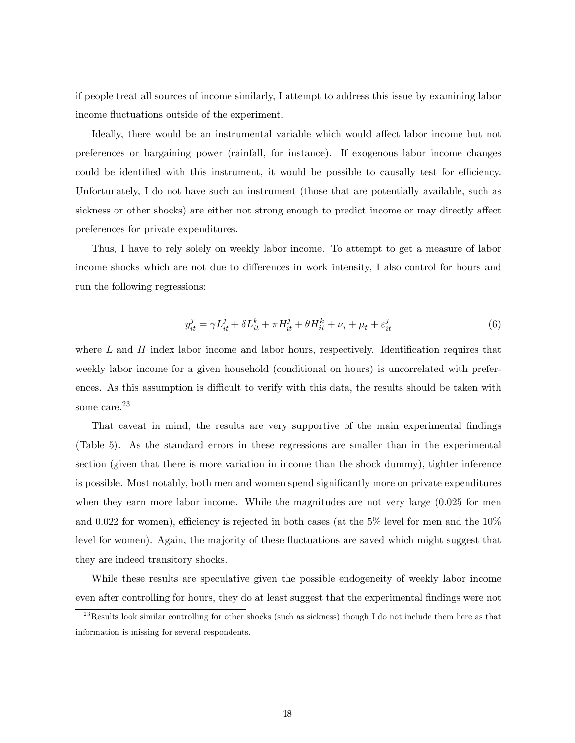if people treat all sources of income similarly, I attempt to address this issue by examining labor income fluctuations outside of the experiment.

Ideally, there would be an instrumental variable which would affect labor income but not preferences or bargaining power (rainfall, for instance). If exogenous labor income changes could be identified with this instrument, it would be possible to causally test for efficiency. Unfortunately, I do not have such an instrument (those that are potentially available, such as sickness or other shocks) are either not strong enough to predict income or may directly affect preferences for private expenditures.

Thus, I have to rely solely on weekly labor income. To attempt to get a measure of labor income shocks which are not due to differences in work intensity, I also control for hours and run the following regressions:

$$
y_{it}^j = \gamma L_{it}^j + \delta L_{it}^k + \pi H_{it}^j + \theta H_{it}^k + \nu_i + \mu_t + \varepsilon_{it}^j
$$
\n
$$
\tag{6}
$$

where  $L$  and  $H$  index labor income and labor hours, respectively. Identification requires that weekly labor income for a given household (conditional on hours) is uncorrelated with preferences. As this assumption is difficult to verify with this data, the results should be taken with some care.<sup>23</sup>

That caveat in mind, the results are very supportive of the main experimental findings (Table 5). As the standard errors in these regressions are smaller than in the experimental section (given that there is more variation in income than the shock dummy), tighter inference is possible. Most notably, both men and women spend significantly more on private expenditures when they earn more labor income. While the magnitudes are not very large (0.025 for men and 0.022 for women), efficiency is rejected in both cases (at the  $5\%$  level for men and the  $10\%$ level for women). Again, the majority of these fluctuations are saved which might suggest that they are indeed transitory shocks.

While these results are speculative given the possible endogeneity of weekly labor income even after controlling for hours, they do at least suggest that the experimental findings were not

 $^{23}$ Results look similar controlling for other shocks (such as sickness) though I do not include them here as that information is missing for several respondents.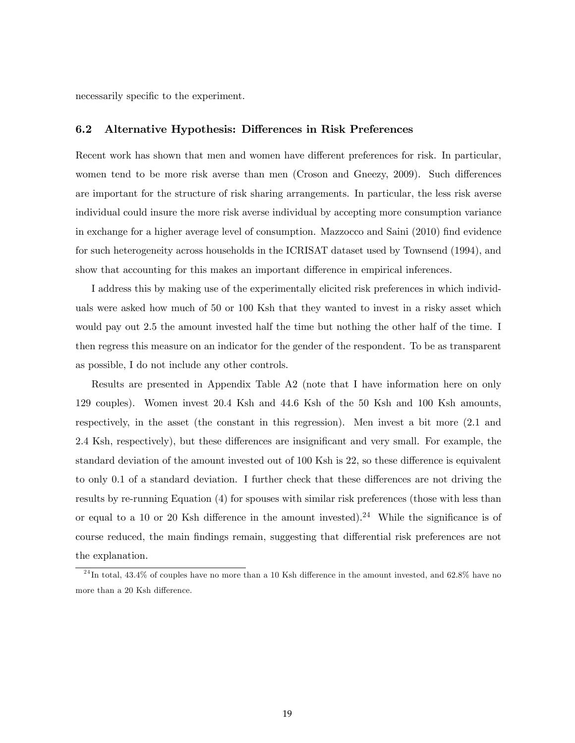necessarily specific to the experiment.

#### 6.2 Alternative Hypothesis: Differences in Risk Preferences

Recent work has shown that men and women have different preferences for risk. In particular, women tend to be more risk averse than men (Croson and Gneezy, 2009). Such differences are important for the structure of risk sharing arrangements. In particular, the less risk averse individual could insure the more risk averse individual by accepting more consumption variance in exchange for a higher average level of consumption. Mazzocco and Saini (2010) find evidence for such heterogeneity across households in the ICRISAT dataset used by Townsend (1994), and show that accounting for this makes an important difference in empirical inferences.

I address this by making use of the experimentally elicited risk preferences in which individuals were asked how much of 50 or 100 Ksh that they wanted to invest in a risky asset which would pay out 2.5 the amount invested half the time but nothing the other half of the time. I then regress this measure on an indicator for the gender of the respondent. To be as transparent as possible, I do not include any other controls.

Results are presented in Appendix Table A2 (note that I have information here on only 129 couples). Women invest 20.4 Ksh and 44.6 Ksh of the 50 Ksh and 100 Ksh amounts, respectively, in the asset (the constant in this regression). Men invest a bit more (2.1 and 2.4 Ksh, respectively), but these differences are insignificant and very small. For example, the standard deviation of the amount invested out of 100 Ksh is 22, so these difference is equivalent to only 0.1 of a standard deviation. I further check that these differences are not driving the results by re-running Equation (4) for spouses with similar risk preferences (those with less than or equal to a 10 or 20 Ksh difference in the amount invested).<sup>24</sup> While the significance is of course reduced, the main findings remain, suggesting that differential risk preferences are not the explanation.

 $^{24}$ In total, 43.4% of couples have no more than a 10 Ksh difference in the amount invested, and 62.8% have no more than a 20 Ksh difference.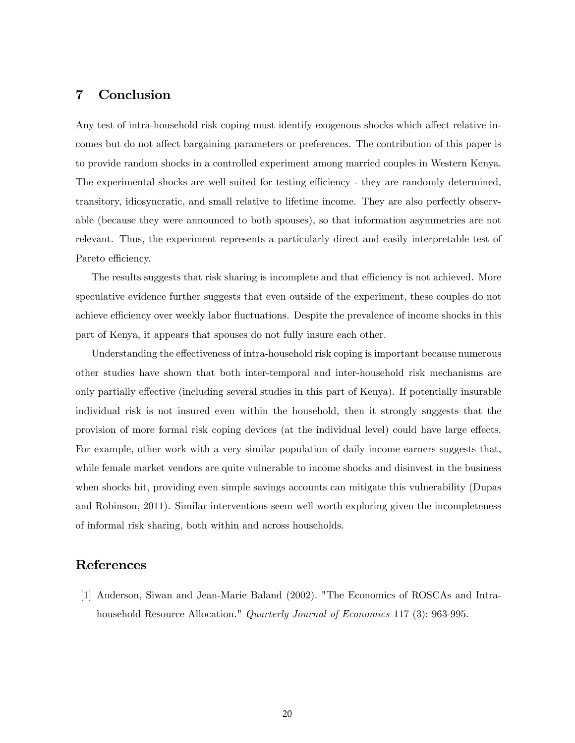## 7 Conclusion

Any test of intra-household risk coping must identify exogenous shocks which affect relative incomes but do not affect bargaining parameters or preferences. The contribution of this paper is to provide random shocks in a controlled experiment among married couples in Western Kenya. The experimental shocks are well suited for testing efficiency - they are randomly determined, transitory, idiosyncratic, and small relative to lifetime income. They are also perfectly observable (because they were announced to both spouses), so that information asymmetries are not relevant. Thus, the experiment represents a particularly direct and easily interpretable test of Pareto efficiency.

The results suggests that risk sharing is incomplete and that efficiency is not achieved. More speculative evidence further suggests that even outside of the experiment, these couples do not achieve efficiency over weekly labor fluctuations. Despite the prevalence of income shocks in this part of Kenya, it appears that spouses do not fully insure each other.

Understanding the effectiveness of intra-household risk coping is important because numerous other studies have shown that both inter-temporal and inter-household risk mechanisms are only partially effective (including several studies in this part of Kenya). If potentially insurable individual risk is not insured even within the household, then it strongly suggests that the provision of more formal risk coping devices (at the individual level) could have large effects. For example, other work with a very similar population of daily income earners suggests that, while female market vendors are quite vulnerable to income shocks and disinvest in the business when shocks hit, providing even simple savings accounts can mitigate this vulnerability (Dupas and Robinson, 2011). Similar interventions seem well worth exploring given the incompleteness of informal risk sharing, both within and across households.

## References

[1] Anderson, Siwan and Jean-Marie Baland (2002). "The Economics of ROSCAs and Intrahousehold Resource Allocation." *Quarterly Journal of Economics* 117 (3): 963-995.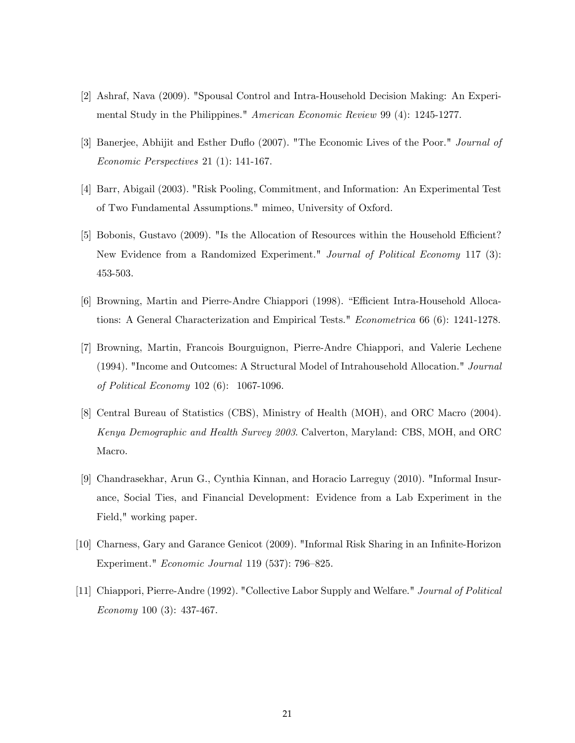- [2] Ashraf, Nava (2009). "Spousal Control and Intra-Household Decision Making: An Experimental Study in the Philippines." American Economic Review 99 (4): 1245-1277.
- [3] Banerjee, Abhijit and Esther Duflo (2007). "The Economic Lives of the Poor." Journal of Economic Perspectives 21 (1): 141-167.
- [4] Barr, Abigail (2003). "Risk Pooling, Commitment, and Information: An Experimental Test of Two Fundamental Assumptions." mimeo, University of Oxford.
- [5] Bobonis, Gustavo (2009). "Is the Allocation of Resources within the Household Efficient? New Evidence from a Randomized Experiment." Journal of Political Economy 117 (3): 453-503.
- [6] Browning, Martin and Pierre-Andre Chiappori (1998). "Efficient Intra-Household Allocations: A General Characterization and Empirical Tests." Econometrica 66 (6): 1241-1278.
- [7] Browning, Martin, Francois Bourguignon, Pierre-Andre Chiappori, and Valerie Lechene (1994). "Income and Outcomes: A Structural Model of Intrahousehold Allocation." Journal of Political Economy 102 (6): 1067-1096.
- [8] Central Bureau of Statistics (CBS), Ministry of Health (MOH), and ORC Macro (2004). Kenya Demographic and Health Survey 2003. Calverton, Maryland: CBS, MOH, and ORC Macro.
- [9] Chandrasekhar, Arun G., Cynthia Kinnan, and Horacio Larreguy (2010). "Informal Insurance, Social Ties, and Financial Development: Evidence from a Lab Experiment in the Field," working paper.
- [10] Charness, Gary and Garance Genicot (2009). "Informal Risk Sharing in an Infinite-Horizon Experiment."  $Economic\ Journal$  119 (537): 796–825.
- [11] Chiappori, Pierre-Andre (1992). "Collective Labor Supply and Welfare." Journal of Political Economy 100 (3): 437-467.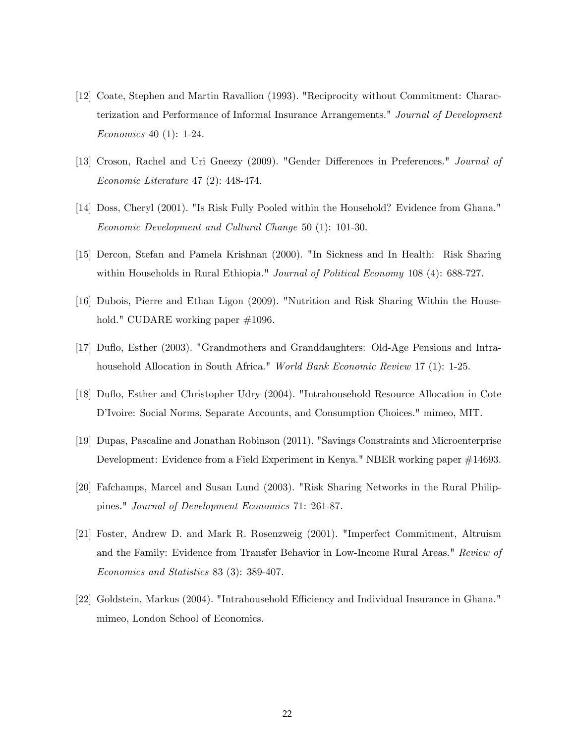- [12] Coate, Stephen and Martin Ravallion (1993). "Reciprocity without Commitment: Characterization and Performance of Informal Insurance Arrangements." Journal of Development Economics 40 (1): 1-24.
- [13] Croson, Rachel and Uri Gneezy (2009). "Gender Differences in Preferences." Journal of Economic Literature 47 (2): 448-474.
- [14] Doss, Cheryl (2001). "Is Risk Fully Pooled within the Household? Evidence from Ghana." Economic Development and Cultural Change 50 (1): 101-30.
- [15] Dercon, Stefan and Pamela Krishnan (2000). "In Sickness and In Health: Risk Sharing within Households in Rural Ethiopia." *Journal of Political Economy* 108 (4): 688-727.
- [16] Dubois, Pierre and Ethan Ligon (2009). "Nutrition and Risk Sharing Within the Household." CUDARE working paper  $\#1096$ .
- [17] Duáo, Esther (2003). "Grandmothers and Granddaughters: Old-Age Pensions and Intrahousehold Allocation in South Africa." World Bank Economic Review 17 (1): 1-25.
- [18] Duáo, Esther and Christopher Udry (2004). "Intrahousehold Resource Allocation in Cote D'Ivoire: Social Norms, Separate Accounts, and Consumption Choices." mimeo, MIT.
- [19] Dupas, Pascaline and Jonathan Robinson (2011). "Savings Constraints and Microenterprise Development: Evidence from a Field Experiment in Kenya." NBER working paper #14693.
- [20] Fafchamps, Marcel and Susan Lund (2003). "Risk Sharing Networks in the Rural Philippines." Journal of Development Economics 71: 261-87.
- [21] Foster, Andrew D. and Mark R. Rosenzweig (2001). "Imperfect Commitment, Altruism and the Family: Evidence from Transfer Behavior in Low-Income Rural Areas." Review of Economics and Statistics 83 (3): 389-407.
- [22] Goldstein, Markus (2004). "Intrahousehold Efficiency and Individual Insurance in Ghana." mimeo, London School of Economics.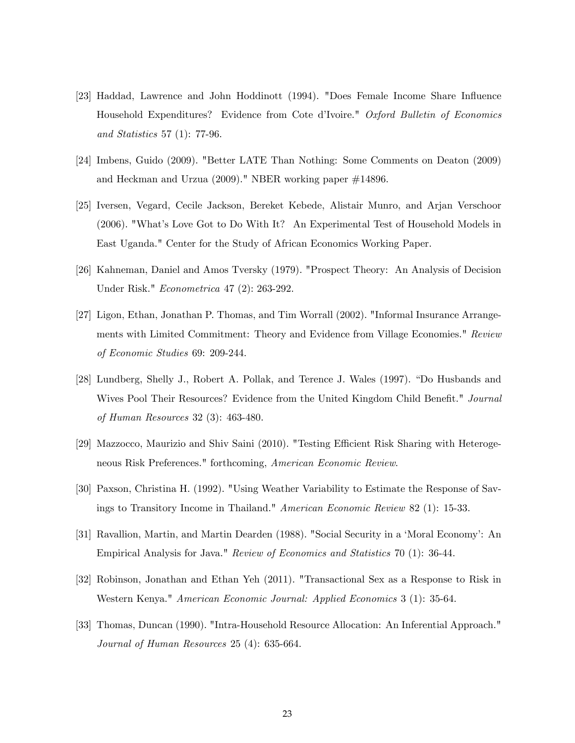- [23] Haddad, Lawrence and John Hoddinott (1994). "Does Female Income Share Ináuence Household Expenditures? Evidence from Cote d'Ivoire." Oxford Bulletin of Economics and Statistics 57 (1): 77-96.
- [24] Imbens, Guido (2009). "Better LATE Than Nothing: Some Comments on Deaton (2009) and Heckman and Urzua (2009)." NBER working paper #14896.
- [25] Iversen, Vegard, Cecile Jackson, Bereket Kebede, Alistair Munro, and Arjan Verschoor (2006). "Whatís Love Got to Do With It? An Experimental Test of Household Models in East Uganda." Center for the Study of African Economics Working Paper.
- [26] Kahneman, Daniel and Amos Tversky (1979). "Prospect Theory: An Analysis of Decision Under Risk." Econometrica 47 (2): 263-292.
- [27] Ligon, Ethan, Jonathan P. Thomas, and Tim Worrall (2002). "Informal Insurance Arrangements with Limited Commitment: Theory and Evidence from Village Economies." Review of Economic Studies 69: 209-244.
- [28] Lundberg, Shelly J., Robert A. Pollak, and Terence J. Wales (1997). "Do Husbands and Wives Pool Their Resources? Evidence from the United Kingdom Child Benefit." Journal of Human Resources 32 (3): 463-480.
- [29] Mazzocco, Maurizio and Shiv Saini (2010). "Testing Efficient Risk Sharing with Heterogeneous Risk Preferences." forthcoming, American Economic Review.
- [30] Paxson, Christina H. (1992). "Using Weather Variability to Estimate the Response of Savings to Transitory Income in Thailand." American Economic Review 82 (1): 15-33.
- [31] Ravallion, Martin, and Martin Dearden (1988). "Social Security in a 'Moral Economy': An Empirical Analysis for Java." Review of Economics and Statistics 70 (1): 36-44.
- [32] Robinson, Jonathan and Ethan Yeh (2011). "Transactional Sex as a Response to Risk in Western Kenya." American Economic Journal: Applied Economics 3 (1): 35-64.
- [33] Thomas, Duncan (1990). "Intra-Household Resource Allocation: An Inferential Approach." Journal of Human Resources 25 (4): 635-664.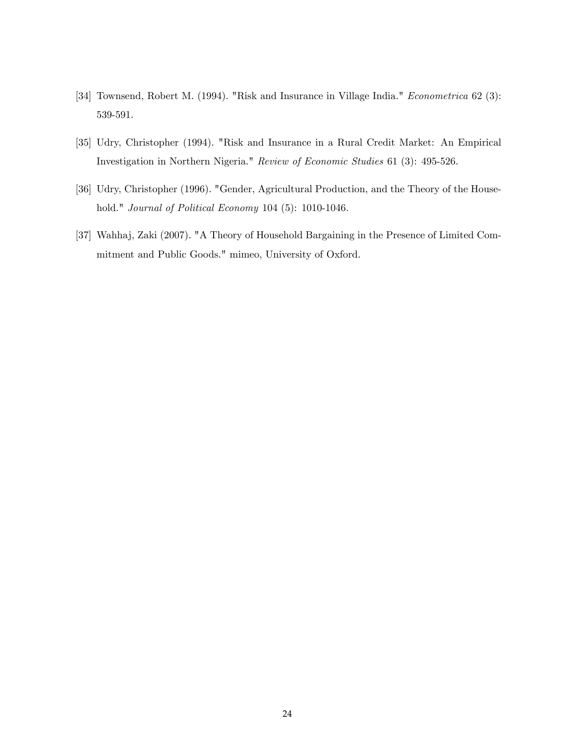- [34] Townsend, Robert M. (1994). "Risk and Insurance in Village India." Econometrica 62 (3): 539-591.
- [35] Udry, Christopher (1994). "Risk and Insurance in a Rural Credit Market: An Empirical Investigation in Northern Nigeria." Review of Economic Studies 61 (3): 495-526.
- [36] Udry, Christopher (1996). "Gender, Agricultural Production, and the Theory of the Household." Journal of Political Economy 104 (5): 1010-1046.
- [37] Wahhaj, Zaki (2007). "A Theory of Household Bargaining in the Presence of Limited Commitment and Public Goods." mimeo, University of Oxford.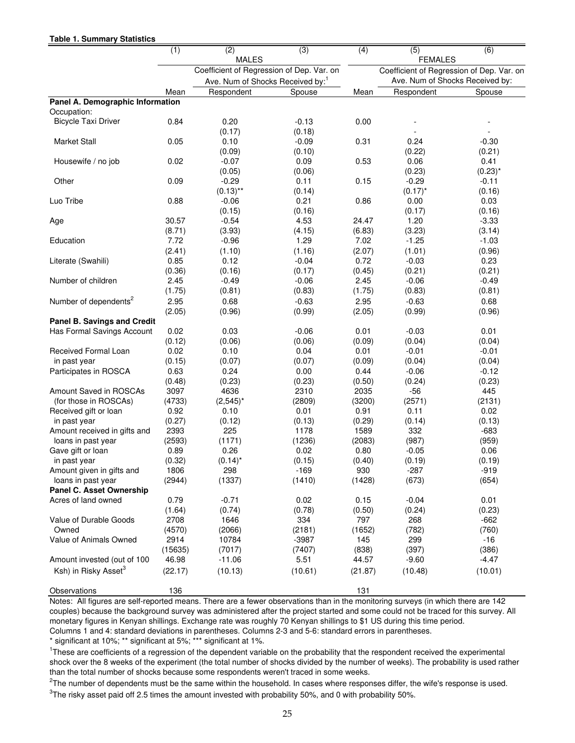#### **Table 1. Summary Statistics**

| <u>UNIV II VUIIIIIIUI</u><br>---------  |                |                                              |                |                |                                           |                  |
|-----------------------------------------|----------------|----------------------------------------------|----------------|----------------|-------------------------------------------|------------------|
|                                         | (1)            | $\overline{2}$                               | (3)            | (4)            | (5)                                       | (6)              |
|                                         |                | <b>MALES</b>                                 |                |                | <b>FEMALES</b>                            |                  |
|                                         |                | Coefficient of Regression of Dep. Var. on    |                |                | Coefficient of Regression of Dep. Var. on |                  |
|                                         |                | Ave. Num of Shocks Received by: <sup>1</sup> |                |                | Ave. Num of Shocks Received by:           |                  |
|                                         | Mean           | Respondent                                   | Spouse         | Mean           | Respondent                                | Spouse           |
| Panel A. Demographic Information        |                |                                              |                |                |                                           |                  |
| Occupation:                             |                |                                              |                |                |                                           |                  |
| <b>Bicycle Taxi Driver</b>              | 0.84           | 0.20                                         | $-0.13$        | 0.00           |                                           |                  |
|                                         |                | (0.17)                                       | (0.18)         |                |                                           |                  |
| <b>Market Stall</b>                     | 0.05           | 0.10                                         | $-0.09$        | 0.31           | 0.24                                      | $-0.30$          |
|                                         |                | (0.09)                                       | (0.10)         |                | (0.22)                                    | (0.21)           |
| Housewife / no job                      | 0.02           | $-0.07$                                      | 0.09           | 0.53           | 0.06                                      | 0.41             |
|                                         |                | (0.05)                                       | (0.06)         |                | (0.23)                                    | $(0.23)^*$       |
| Other                                   | 0.09           | $-0.29$                                      | 0.11           | 0.15           | $-0.29$                                   | $-0.11$          |
|                                         |                | $(0.13)$ **                                  | (0.14)         |                | $(0.17)^*$                                | (0.16)           |
| Luo Tribe                               | 0.88           | $-0.06$                                      | 0.21           | 0.86           | 0.00                                      | 0.03             |
|                                         |                | (0.15)                                       | (0.16)         |                | (0.17)                                    | (0.16)           |
| Age                                     | 30.57          | $-0.54$                                      | 4.53           | 24.47          | 1.20                                      | $-3.33$          |
|                                         | (8.71)         | (3.93)                                       | (4.15)         | (6.83)         | (3.23)                                    | (3.14)           |
| Education                               | 7.72           | $-0.96$                                      | 1.29           | 7.02           | $-1.25$                                   | $-1.03$          |
|                                         | (2.41)         | (1.10)                                       | (1.16)         | (2.07)         | (1.01)                                    | (0.96)           |
| Literate (Swahili)                      | 0.85           | 0.12                                         | $-0.04$        | 0.72           | $-0.03$                                   | 0.23             |
|                                         | (0.36)         | (0.16)                                       | (0.17)         | (0.45)         | (0.21)                                    | (0.21)           |
| Number of children                      | 2.45           | $-0.49$                                      | $-0.06$        | 2.45           | $-0.06$                                   | $-0.49$          |
|                                         | (1.75)         | (0.81)                                       | (0.83)         | (1.75)         | (0.83)                                    | (0.81)           |
| Number of dependents <sup>2</sup>       | 2.95           | 0.68                                         | $-0.63$        | 2.95           | $-0.63$                                   | 0.68             |
|                                         | (2.05)         | (0.96)                                       | (0.99)         | (2.05)         | (0.99)                                    | (0.96)           |
| <b>Panel B. Savings and Credit</b>      |                |                                              |                |                |                                           |                  |
| Has Formal Savings Account              | 0.02           | 0.03                                         | $-0.06$        | 0.01           | $-0.03$                                   | 0.01             |
|                                         | (0.12)         | (0.06)                                       | (0.06)         | (0.09)         | (0.04)                                    | (0.04)           |
| Received Formal Loan                    | 0.02           | 0.10                                         | 0.04           | 0.01           | $-0.01$                                   | $-0.01$          |
| in past year                            | (0.15)         | (0.07)                                       | (0.07)         | (0.09)         | (0.04)                                    | (0.04)           |
| Participates in ROSCA                   | 0.63           | 0.24                                         | 0.00           | 0.44           | $-0.06$                                   | $-0.12$          |
|                                         | (0.48)         | (0.23)                                       | (0.23)         | (0.50)         | (0.24)                                    | (0.23)           |
| Amount Saved in ROSCAs                  | 3097           | 4636                                         | 2310           | 2035           | $-56$                                     | 445              |
| (for those in ROSCAs)                   | (4733)<br>0.92 | $(2,545)^*$<br>0.10                          | (2809)<br>0.01 | (3200)         | (2571)<br>0.11                            | (2131)           |
| Received gift or loan                   | (0.27)         |                                              |                | 0.91<br>(0.29) | (0.14)                                    | 0.02             |
| in past year                            | 2393           | (0.12)<br>225                                | (0.13)<br>1178 | 1589           | 332                                       | (0.13)<br>$-683$ |
| Amount received in gifts and            | (2593)         | (1171)                                       | (1236)         | (2083)         | (987)                                     | (959)            |
| loans in past year<br>Gave gift or loan | 0.89           | 0.26                                         | 0.02           | 0.80           | $-0.05$                                   | 0.06             |
| in past year                            | (0.32)         | $(0.14)^*$                                   | (0.15)         | (0.40)         | (0.19)                                    | (0.19)           |
| Amount given in gifts and               | 1806           | 298                                          | $-169$         | 930            | -287                                      | $-919$           |
| loans in past year                      | (2944)         | (1337)                                       | (1410)         | (1428)         | (673)                                     | (654)            |
| Panel C. Asset Ownership                |                |                                              |                |                |                                           |                  |
| Acres of land owned                     | 0.79           | $-0.71$                                      | 0.02           | 0.15           | $-0.04$                                   | 0.01             |
|                                         | (1.64)         | (0.74)                                       | (0.78)         | (0.50)         | (0.24)                                    | (0.23)           |
| Value of Durable Goods                  | 2708           | 1646                                         | 334            | 797            | 268                                       | $-662$           |
| Owned                                   | (4570)         | (2066)                                       | (2181)         | (1652)         | (782)                                     | (760)            |
| Value of Animals Owned                  | 2914           | 10784                                        | $-3987$        | 145            | 299                                       | $-16$            |
|                                         | (15635)        | (7017)                                       | (7407)         | (838)          | (397)                                     | (386)            |
| Amount invested (out of 100             | 46.98          | $-11.06$                                     | 5.51           | 44.57          | $-9.60$                                   | $-4.47$          |
| Ksh) in Risky Asset <sup>3</sup>        | (22.17)        | (10.13)                                      | (10.61)        | (21.87)        | (10.48)                                   | (10.01)          |
|                                         |                |                                              |                |                |                                           |                  |
| Observations                            | 136            |                                              |                | 131            |                                           |                  |

Notes: All figures are self-reported means. There are a fewer observations than in the monitoring surveys (in which there are 142 couples) because the background survey was administered after the project started and some could not be traced for this survey. All monetary figures in Kenyan shillings. Exchange rate was roughly 70 Kenyan shillings to \$1 US during this time period. Columns 1 and 4: standard deviations in parentheses. Columns 2-3 and 5-6: standard errors in parentheses.

\* significant at 10%; \*\* significant at 5%; \*\*\* significant at 1%.

<sup>1</sup>These are coefficients of a regression of the dependent variable on the probability that the respondent received the experimental shock over the 8 weeks of the experiment (the total number of shocks divided by the number of weeks). The probability is used rather than the total number of shocks because some respondents weren't traced in some weeks.

 $^{2}$ The number of dependents must be the same within the household. In cases where responses differ, the wife's response is used.

 ${}^{3}$ The risky asset paid off 2.5 times the amount invested with probability 50%, and 0 with probability 50%.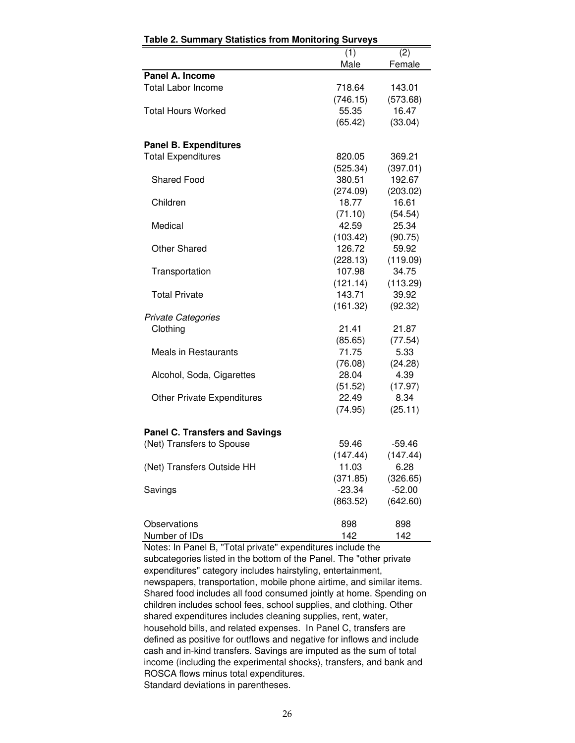| rable 2. Summary Statistics from Monitoring Surveys |          |          |
|-----------------------------------------------------|----------|----------|
|                                                     | (1)      | (2)      |
|                                                     | Male     | Female   |
| Panel A. Income                                     |          |          |
| <b>Total Labor Income</b>                           | 718.64   | 143.01   |
|                                                     | (746.15) | (573.68) |
| <b>Total Hours Worked</b>                           | 55.35    | 16.47    |
|                                                     | (65.42)  | (33.04)  |
|                                                     |          |          |
| <b>Panel B. Expenditures</b>                        |          |          |
| <b>Total Expenditures</b>                           | 820.05   | 369.21   |
|                                                     | (525.34) | (397.01) |
| <b>Shared Food</b>                                  | 380.51   | 192.67   |
|                                                     | (274.09) | (203.02) |
| Children                                            | 18.77    | 16.61    |
|                                                     | (71.10)  | (54.54)  |
| Medical                                             | 42.59    | 25.34    |
|                                                     | (103.42) | (90.75)  |
| <b>Other Shared</b>                                 | 126.72   | 59.92    |
|                                                     | (228.13) | (119.09) |
| Transportation                                      | 107.98   | 34.75    |
|                                                     | (121.14) | (113.29) |
| <b>Total Private</b>                                | 143.71   | 39.92    |
|                                                     | (161.32) | (92.32)  |
| <b>Private Categories</b>                           |          |          |
| Clothing                                            | 21.41    | 21.87    |
|                                                     | (85.65)  | (77.54)  |
| Meals in Restaurants                                | 71.75    | 5.33     |
|                                                     | (76.08)  | (24.28)  |
| Alcohol, Soda, Cigarettes                           | 28.04    | 4.39     |
|                                                     | (51.52)  | (17.97)  |
| <b>Other Private Expenditures</b>                   | 22.49    | 8.34     |
|                                                     | (74.95)  | (25.11)  |
|                                                     |          |          |
| <b>Panel C. Transfers and Savings</b>               |          |          |
| (Net) Transfers to Spouse                           | 59.46    | $-59.46$ |
|                                                     | (147.44) | (147.44) |
| (Net) Transfers Outside HH                          | 11.03    | 6.28     |
|                                                     | (371.85) | (326.65) |
|                                                     | $-23.34$ |          |
| Savings                                             |          | $-52.00$ |
|                                                     | (863.52) | (642.60) |
|                                                     |          |          |
| Observations                                        | 898      | 898      |
| Number of IDs                                       | 142      | 142      |

Notes: In Panel B, "Total private" expenditures include the subcategories listed in the bottom of the Panel. The "other private expenditures" category includes hairstyling, entertainment, newspapers, transportation, mobile phone airtime, and similar items. Shared food includes all food consumed jointly at home. Spending on children includes school fees, school supplies, and clothing. Other shared expenditures includes cleaning supplies, rent, water, household bills, and related expenses. In Panel C, transfers are defined as positive for outflows and negative for inflows and include cash and in-kind transfers. Savings are imputed as the sum of total income (including the experimental shocks), transfers, and bank and ROSCA flows minus total expenditures. Standard deviations in parentheses.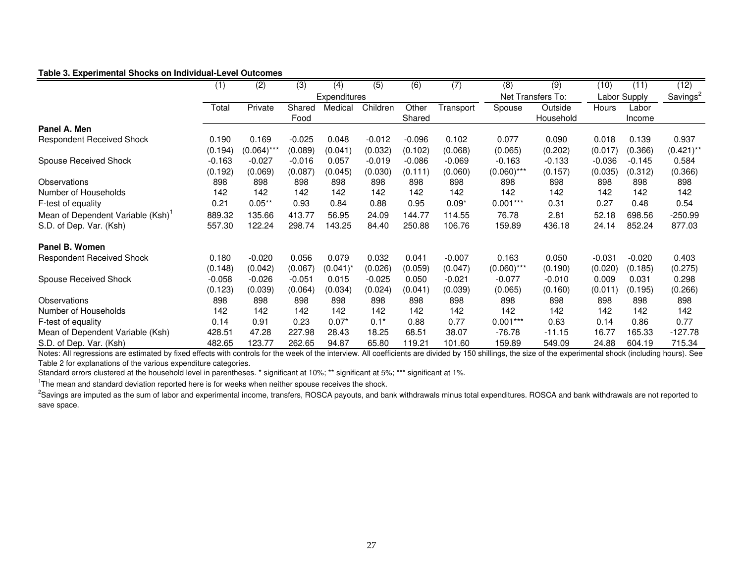#### **Table 3. Experimental Shocks on Individual-Level Outcomes**

|                                               | (1)      | (2)           | (3)      | (4)                 | (5)      | (6)      | (7)       | (8)           | (9)               | (10)     | (11)         | (12)         |
|-----------------------------------------------|----------|---------------|----------|---------------------|----------|----------|-----------|---------------|-------------------|----------|--------------|--------------|
|                                               |          |               |          | <b>Expenditures</b> |          |          |           |               | Net Transfers To: |          | Labor Supply |              |
|                                               | Total    | Private       | Shared   | Medical             | Children | Other    | Transport | Spouse        | Outside           | Hours    | Labor        |              |
|                                               |          |               | Food     |                     |          | Shared   |           |               | Household         |          | Income       |              |
| Panel A. Men                                  |          |               |          |                     |          |          |           |               |                   |          |              |              |
| <b>Respondent Received Shock</b>              | 0.190    | 0.169         | $-0.025$ | 0.048               | $-0.012$ | $-0.096$ | 0.102     | 0.077         | 0.090             | 0.018    | 0.139        | 0.937        |
|                                               | (0.194)  | $(0.064)$ *** | (0.089)  | (0.041)             | (0.032)  | (0.102)  | (0.068)   | (0.065)       | (0.202)           | (0.017)  | (0.366)      | $(0.421)$ ** |
| Spouse Received Shock                         | $-0.163$ | $-0.027$      | $-0.016$ | 0.057               | $-0.019$ | $-0.086$ | $-0.069$  | $-0.163$      | $-0.133$          | $-0.036$ | $-0.145$     | 0.584        |
|                                               | (0.192)  | (0.069)       | (0.087)  | (0.045)             | (0.030)  | (0.111)  | (0.060)   | $(0.060)$ *** | (0.157)           | (0.035)  | (0.312)      | (0.366)      |
| Observations                                  | 898      | 898           | 898      | 898                 | 898      | 898      | 898       | 898           | 898               | 898      | 898          | 898          |
| Number of Households                          | 142      | 142           | 142      | 142                 | 142      | 142      | 142       | 142           | 142               | 142      | 142          | 142          |
| F-test of equality                            | 0.21     | $0.05**$      | 0.93     | 0.84                | 0.88     | 0.95     | $0.09*$   | $0.001***$    | 0.31              | 0.27     | 0.48         | 0.54         |
| Mean of Dependent Variable (Ksh) <sup>1</sup> | 889.32   | 135.66        | 413.77   | 56.95               | 24.09    | 144.77   | 114.55    | 76.78         | 2.81              | 52.18    | 698.56       | $-250.99$    |
| S.D. of Dep. Var. (Ksh)                       | 557.30   | 122.24        | 298.74   | 143.25              | 84.40    | 250.88   | 106.76    | 159.89        | 436.18            | 24.14    | 852.24       | 877.03       |
| Panel B. Women                                |          |               |          |                     |          |          |           |               |                   |          |              |              |
| <b>Respondent Received Shock</b>              | 0.180    | $-0.020$      | 0.056    | 0.079               | 0.032    | 0.041    | $-0.007$  | 0.163         | 0.050             | $-0.031$ | $-0.020$     | 0.403        |
|                                               | (0.148)  | (0.042)       | (0.067)  | $(0.041)^*$         | (0.026)  | (0.059)  | (0.047)   | $(0.060)$ *** | (0.190)           | (0.020)  | (0.185)      | (0.275)      |
| Spouse Received Shock                         | $-0.058$ | $-0.026$      | $-0.051$ | 0.015               | $-0.025$ | 0.050    | $-0.021$  | $-0.077$      | $-0.010$          | 0.009    | 0.031        | 0.298        |
|                                               | (0.123)  | (0.039)       | (0.064)  | (0.034)             | (0.024)  | (0.041)  | (0.039)   | (0.065)       | (0.160)           | (0.011)  | (0.195)      | (0.266)      |
| Observations                                  | 898      | 898           | 898      | 898                 | 898      | 898      | 898       | 898           | 898               | 898      | 898          | 898          |
| Number of Households                          | 142      | 142           | 142      | 142                 | 142      | 142      | 142       | 142           | 142               | 142      | 142          | 142          |
| F-test of equality                            | 0.14     | 0.91          | 0.23     | $0.07*$             | $0.1*$   | 0.88     | 0.77      | $0.001***$    | 0.63              | 0.14     | 0.86         | 0.77         |
| Mean of Dependent Variable (Ksh)              | 428.51   | 47.28         | 227.98   | 28.43               | 18.25    | 68.51    | 38.07     | $-76.78$      | $-11.15$          | 16.77    | 165.33       | $-127.78$    |
| S.D. of Dep. Var. (Ksh)                       | 482.65   | 123.77        | 262.65   | 94.87               | 65.80    | 119.21   | 101.60    | 159.89        | 549.09            | 24.88    | 604.19       | 715.34       |

Notes: All regressions are estimated by fixed effects with controls for the week of the interview. All coefficients are divided by 150 shillings, the size of the experimental shock (including hours). See Table 2 for explanations of the various expenditure categories.

Standard errors clustered at the household level in parentheses. \* significant at 10%; \*\* significant at 5%; \*\*\* significant at 1%.

<sup>1</sup>The mean and standard deviation reported here is for weeks when neither spouse receives the shock.

<sup>2</sup>Savings are imputed as the sum of labor and experimental income, transfers, ROSCA payouts, and bank withdrawals minus total expenditures. ROSCA and bank withdrawals are not reported to save space.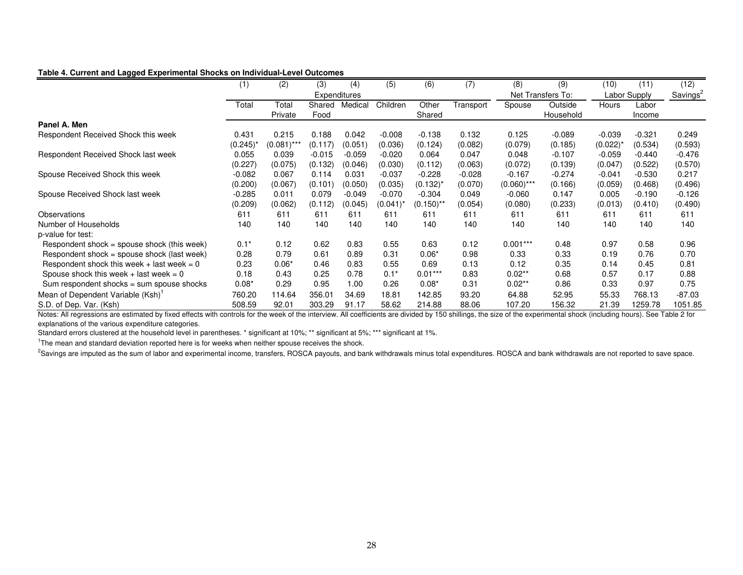#### **Table 4. Current and Lagged Experimental Shocks on Individual-Level Outcomes**

|                                               | (1)         | (2)             | (3)      | (4)                 | $\overline{(5)}$ | (6)          | (7)       | (8)           | (9)               | (10)          | (11)     | (12)                 |
|-----------------------------------------------|-------------|-----------------|----------|---------------------|------------------|--------------|-----------|---------------|-------------------|---------------|----------|----------------------|
|                                               |             |                 |          | <b>Expenditures</b> |                  |              |           |               | Net Transfers To: | Labor Supply  |          | Savings <sup>2</sup> |
|                                               | Total       | Total           | Shared   | Medical             | Children         | Other        | Transport | Spouse        | Outside           | Hours         | Labor    |                      |
|                                               |             | Private         | Food     |                     |                  | Shared       |           |               | Household         |               | Income   |                      |
| Panel A. Men                                  |             |                 |          |                     |                  |              |           |               |                   |               |          |                      |
| Respondent Received Shock this week           | 0.431       | 0.215           | 0.188    | 0.042               | $-0.008$         | $-0.138$     | 0.132     | 0.125         | $-0.089$          | $-0.039$      | $-0.321$ | 0.249                |
|                                               | $(0.245)^*$ | $(0.081)^{***}$ | (0.117)  | (0.051)             | (0.036)          | (0.124)      | (0.082)   | (0.079)       | (0.185)           | $(0.022)^{*}$ | (0.534)  | (0.593)              |
| Respondent Received Shock last week           | 0.055       | 0.039           | $-0.015$ | $-0.059$            | $-0.020$         | 0.064        | 0.047     | 0.048         | $-0.107$          | $-0.059$      | $-0.440$ | $-0.476$             |
|                                               | (0.227)     | (0.075)         | (0.132)  | (0.046)             | (0.030)          | (0.112)      | (0.063)   | (0.072)       | (0.139)           | (0.047)       | (0.522)  | (0.570)              |
| Spouse Received Shock this week               | $-0.082$    | 0.067           | 0.114    | 0.031               | $-0.037$         | $-0.228$     | $-0.028$  | $-0.167$      | $-0.274$          | $-0.041$      | $-0.530$ | 0.217                |
|                                               | (0.200)     | (0.067)         | (0.101)  | (0.050)             | (0.035)          | $(0.132)^*$  | (0.070)   | $(0.060)$ *** | (0.166)           | (0.059)       | (0.468)  | (0.496)              |
| Spouse Received Shock last week               | $-0.285$    | 0.011           | 0.079    | $-0.049$            | $-0.070$         | $-0.304$     | 0.049     | $-0.060$      | 0.147             | 0.005         | $-0.190$ | $-0.126$             |
|                                               | (0.209)     | (0.062)         | (0.112)  | (0.045)             | (0.041)          | $(0.150)$ ** | (0.054)   | (0.080)       | (0.233)           | (0.013)       | (0.410)  | (0.490)              |
| Observations                                  | 611         | 611             | 611      | 611                 | 611              | 611          | 611       | 611           | 611               | 611           | 611      | 611                  |
| Number of Households                          | 140         | 140             | 140      | 140                 | 140              | 140          | 140       | 140           | 140               | 140           | 140      | 140                  |
| p-value for test:                             |             |                 |          |                     |                  |              |           |               |                   |               |          |                      |
| Respondent shock = spouse shock (this week)   | $0.1*$      | 0.12            | 0.62     | 0.83                | 0.55             | 0.63         | 0.12      | $0.001***$    | 0.48              | 0.97          | 0.58     | 0.96                 |
| Respondent shock = spouse shock (last week)   | 0.28        | 0.79            | 0.61     | 0.89                | 0.31             | $0.06*$      | 0.98      | 0.33          | 0.33              | 0.19          | 0.76     | 0.70                 |
| Respondent shock this week + last week = $0$  | 0.23        | $0.06*$         | 0.46     | 0.83                | 0.55             | 0.69         | 0.13      | 0.12          | 0.35              | 0.14          | 0.45     | 0.81                 |
| Spouse shock this week $+$ last week = 0      | 0.18        | 0.43            | 0.25     | 0.78                | $0.1*$           | $0.01***$    | 0.83      | $0.02**$      | 0.68              | 0.57          | 0.17     | 0.88                 |
| Sum respondent shocks = sum spouse shocks     | $0.08*$     | 0.29            | 0.95     | 1.00                | 0.26             | $0.08*$      | 0.31      | $0.02**$      | 0.86              | 0.33          | 0.97     | 0.75                 |
| Mean of Dependent Variable (Ksh) <sup>1</sup> | 760.20      | 114.64          | 356.01   | 34.69               | 18.81            | 142.85       | 93.20     | 64.88         | 52.95             | 55.33         | 768.13   | $-87.03$             |
| S.D. of Dep. Var. (Ksh)                       | 508.59      | 92.01           | 303.29   | 91.17               | 58.62            | 214.88       | 88.06     | 107.20        | 156.32            | 21.39         | 1259.78  | 1051.85              |

Notes: All regressions are estimated by fixed effects with controls for the week of the interview. All coefficients are divided by 150 shillings, the size of the experimental shock (including hours). See Table 2 for explanations of the various expenditure categories.

Standard errors clustered at the household level in parentheses. \* significant at 10%; \*\* significant at 5%; \*\*\* significant at 1%.

<sup>1</sup>The mean and standard deviation reported here is for weeks when neither spouse receives the shock.

<sup>2</sup>Savings are imputed as the sum of labor and experimental income, transfers, ROSCA payouts, and bank withdrawals minus total expenditures. ROSCA and bank withdrawals are not reported to save space.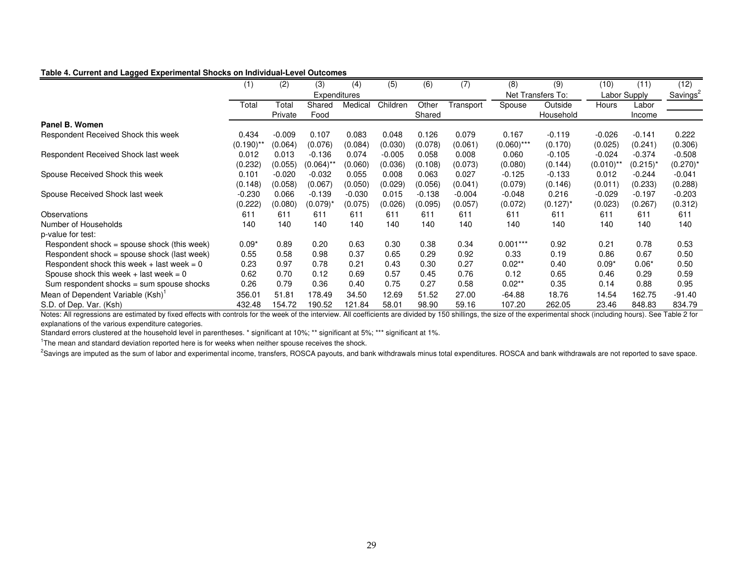#### **Table 4. Current and Lagged Experimental Shocks on Individual-Level Outcomes**

|                                              | (1)         | (2)          | (3)                    | (4)      | (5)      | (6)      | (7)       | (8)           | (9)               | (10)         | (11)        | (12)                 |
|----------------------------------------------|-------------|--------------|------------------------|----------|----------|----------|-----------|---------------|-------------------|--------------|-------------|----------------------|
|                                              |             | Expenditures |                        |          |          |          |           |               | Net Transfers To: | Labor Supply |             | Savings <sup>2</sup> |
|                                              | Total       | Total        | Shared                 | Medical  | Children | Other    | Transport | Spouse        | Outside           | Hours        | Labor       |                      |
|                                              |             | Private      | Food                   |          |          | Shared   |           |               | Household         |              | Income      |                      |
| Panel B. Women                               |             |              |                        |          |          |          |           |               |                   |              |             |                      |
| Respondent Received Shock this week          | 0.434       | $-0.009$     | 0.107                  | 0.083    | 0.048    | 0.126    | 0.079     | 0.167         | $-0.119$          | $-0.026$     | $-0.141$    | 0.222                |
|                                              | $(0.190)^*$ | (0.064)      | (0.076)                | (0.084)  | (0.030)  | (0.078)  | (0.061)   | $(0.060)$ *** | (0.170)           | (0.025)      | (0.241)     | (0.306)              |
| Respondent Received Shock last week          | 0.012       | 0.013        | $-0.136$               | 0.074    | $-0.005$ | 0.058    | 0.008     | 0.060         | $-0.105$          | $-0.024$     | $-0.374$    | $-0.508$             |
|                                              | (0.232)     | (0.055)      | $(0.064)$ <sup>*</sup> | (0.060)  | (0.036)  | (0.108)  | (0.073)   | (0.080)       | (0.144)           | $(0.010)$ ** | $(0.215)^*$ | $(0.270)^*$          |
| Spouse Received Shock this week              | 0.101       | $-0.020$     | $-0.032$               | 0.055    | 0.008    | 0.063    | 0.027     | $-0.125$      | $-0.133$          | 0.012        | $-0.244$    | $-0.041$             |
|                                              | (0.148)     | (0.058)      | (0.067)                | (0.050)  | (0.029)  | (0.056)  | (0.041)   | (0.079)       | (0.146)           | (0.011)      | (0.233)     | (0.288)              |
| Spouse Received Shock last week              | $-0.230$    | 0.066        | $-0.139$               | $-0.030$ | 0.015    | $-0.138$ | $-0.004$  | $-0.048$      | 0.216             | $-0.029$     | $-0.197$    | $-0.203$             |
|                                              | (0.222)     | (0.080)      | (0.079) <sup>,</sup>   | (0.075)  | (0.026)  | (0.095)  | (0.057)   | (0.072)       | $(0.127)^*$       | (0.023)      | (0.267)     | (0.312)              |
| Observations                                 | 611         | 611          | 611                    | 611      | 611      | 611      | 611       | 611           | 611               | 611          | 611         | 611                  |
| Number of Households                         | 140         | 140          | 140                    | 140      | 140      | 140      | 140       | 140           | 140               | 140          | 140         | 140                  |
| p-value for test:                            |             |              |                        |          |          |          |           |               |                   |              |             |                      |
| Respondent shock = spouse shock (this week)  | $0.09*$     | 0.89         | 0.20                   | 0.63     | 0.30     | 0.38     | 0.34      | $0.001***$    | 0.92              | 0.21         | 0.78        | 0.53                 |
| Respondent shock = spouse shock (last week)  | 0.55        | 0.58         | 0.98                   | 0.37     | 0.65     | 0.29     | 0.92      | 0.33          | 0.19              | 0.86         | 0.67        | 0.50                 |
| Respondent shock this week $+$ last week = 0 | 0.23        | 0.97         | 0.78                   | 0.21     | 0.43     | 0.30     | 0.27      | $0.02**$      | 0.40              | $0.09*$      | $0.06*$     | 0.50                 |
| Spouse shock this week + last week = $0$     | 0.62        | 0.70         | 0.12                   | 0.69     | 0.57     | 0.45     | 0.76      | 0.12          | 0.65              | 0.46         | 0.29        | 0.59                 |
| Sum respondent shocks = sum spouse shocks    | 0.26        | 0.79         | 0.36                   | 0.40     | 0.75     | 0.27     | 0.58      | $0.02**$      | 0.35              | 0.14         | 0.88        | 0.95                 |
| Mean of Dependent Variable (Ksh)'            | 356.01      | 51.81        | 178.49                 | 34.50    | 12.69    | 51.52    | 27.00     | $-64.88$      | 18.76             | 14.54        | 162.75      | $-91.40$             |
| S.D. of Dep. Var. (Ksh)                      | 432.48      | 154.72       | 190.52                 | 121.84   | 58.01    | 98.90    | 59.16     | 107.20        | 262.05            | 23.46        | 848.83      | 834.79               |

Notes: All regressions are estimated by fixed effects with controls for the week of the interview. All coefficients are divided by 150 shillings, the size of the experimental shock (including hours). See Table 2 for explanations of the various expenditure categories.

Standard errors clustered at the household level in parentheses. \* significant at 10%; \*\* significant at 5%; \*\*\* significant at 1%.

<sup>1</sup>The mean and standard deviation reported here is for weeks when neither spouse receives the shock.

<sup>2</sup>Savings are imputed as the sum of labor and experimental income, transfers, ROSCA payouts, and bank withdrawals minus total expenditures. ROSCA and bank withdrawals are not reported to save space.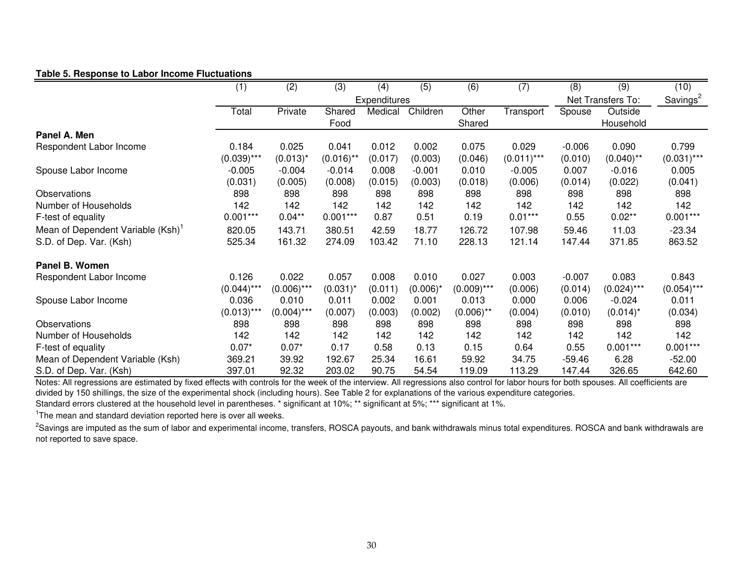#### **Table 5. Response to Labor Income Fluctuations**

|                                   | (1)           | $\overline{(2)}$ | $\overline{(3)}$ | (4)          | $\overline{(5)}$ | (6)           | (7)          | $\overline{(8)}$ | $\overline{(9)}$  | (10)          |  |
|-----------------------------------|---------------|------------------|------------------|--------------|------------------|---------------|--------------|------------------|-------------------|---------------|--|
|                                   |               |                  |                  | Expenditures |                  |               |              |                  | Net Transfers To: |               |  |
|                                   | Total         | Private          | Shared           | Medical      | Children         | Other         | Transport    | Spouse           | Outside           |               |  |
|                                   |               |                  | Food             |              |                  | Shared        |              |                  | Household         |               |  |
| Panel A. Men                      |               |                  |                  |              |                  |               |              |                  |                   |               |  |
| Respondent Labor Income           | 0.184         | 0.025            | 0.041            | 0.012        | 0.002            | 0.075         | 0.029        | $-0.006$         | 0.090             | 0.799         |  |
|                                   | $(0.039)$ *** | $(0.013)^*$      | $(0.016)$ **     | (0.017)      | (0.003)          | (0.046)       | $(0.011)***$ | (0.010)          | $(0.040)$ **      | $(0.031)$ *** |  |
| Spouse Labor Income               | $-0.005$      | $-0.004$         | $-0.014$         | 0.008        | $-0.001$         | 0.010         | $-0.005$     | 0.007            | $-0.016$          | 0.005         |  |
|                                   | (0.031)       | (0.005)          | (0.008)          | (0.015)      | (0.003)          | (0.018)       | (0.006)      | (0.014)          | (0.022)           | (0.041)       |  |
| Observations                      | 898           | 898              | 898              | 898          | 898              | 898           | 898          | 898              | 898               | 898           |  |
| Number of Households              | 142           | 142              | 142              | 142          | 142              | 142           | 142          | 142              | 142               | 142           |  |
| F-test of equality                | $0.001***$    | $0.04***$        | $0.001***$       | 0.87         | 0.51             | 0.19          | $0.01***$    | 0.55             | $0.02**$          | $0.001***$    |  |
| Mean of Dependent Variable (Ksh)' | 820.05        | 143.71           | 380.51           | 42.59        | 18.77            | 126.72        | 107.98       | 59.46            | 11.03             | $-23.34$      |  |
| S.D. of Dep. Var. (Ksh)           | 525.34        | 161.32           | 274.09           | 103.42       | 71.10            | 228.13        | 121.14       | 147.44           | 371.85            | 863.52        |  |
| Panel B. Women                    |               |                  |                  |              |                  |               |              |                  |                   |               |  |
| Respondent Labor Income           | 0.126         | 0.022            | 0.057            | 0.008        | 0.010            | 0.027         | 0.003        | $-0.007$         | 0.083             | 0.843         |  |
|                                   | $(0.044)$ **  | $(0.006)$ ***    | $(0.031)^*$      | (0.011)      | $(0.006)^*$      | $(0.009)$ *** | (0.006)      | (0.014)          | $(0.024)***$      | $(0.054)$ *** |  |
| Spouse Labor Income               | 0.036         | 0.010            | 0.011            | 0.002        | 0.001            | 0.013         | 0.000        | 0.006            | $-0.024$          | 0.011         |  |
|                                   | $(0.013)$ *** | $(0.004)$ ***    | (0.007)          | (0.003)      | (0.002)          | $(0.006)$ **  | (0.004)      | (0.010)          | $(0.014)^*$       | (0.034)       |  |
| Observations                      | 898           | 898              | 898              | 898          | 898              | 898           | 898          | 898              | 898               | 898           |  |
| Number of Households              | 142           | 142              | 142              | 142          | 142              | 142           | 142          | 142              | 142               | 142           |  |
| F-test of equality                | $0.07*$       | $0.07*$          | 0.17             | 0.58         | 0.13             | 0.15          | 0.64         | 0.55             | $0.001***$        | $0.001***$    |  |
| Mean of Dependent Variable (Ksh)  | 369.21        | 39.92            | 192.67           | 25.34        | 16.61            | 59.92         | 34.75        | $-59.46$         | 6.28              | $-52.00$      |  |
| S.D. of Dep. Var. (Ksh)           | 397.01        | 92.32            | 203.02           | 90.75        | 54.54            | 119.09        | 113.29       | 147.44           | 326.65            | 642.60        |  |

Notes: All regressions are estimated by fixed effects with controls for the week of the interview. All regressions also control for labor hours for both spouses. All coefficients are divided by 150 shillings, the size of the experimental shock (including hours). See Table 2 for explanations of the various expenditure categories. Standard errors clustered at the household level in parentheses. \* significant at 10%; \*\* significant at 5%; \*\*\* significant at 1%.

<sup>1</sup>The mean and standard deviation reported here is over all weeks.

<sup>2</sup>Savings are imputed as the sum of labor and experimental income, transfers, ROSCA payouts, and bank withdrawals minus total expenditures. ROSCA and bank withdrawals are not reported to save space.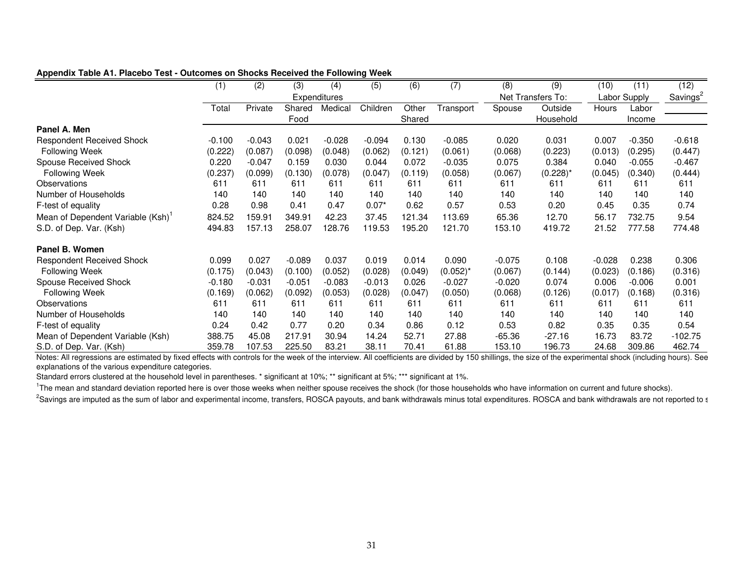|                                  | (1)      | (2)      | (3)      | (4)          | (5)      | (6)     | (7)         | (8)      | (9)               | (10)         | (11)     | (12)                 |
|----------------------------------|----------|----------|----------|--------------|----------|---------|-------------|----------|-------------------|--------------|----------|----------------------|
|                                  |          |          |          | Expenditures |          |         |             |          | Net Transfers To: | Labor Supply |          | Savings <sup>2</sup> |
|                                  | Total    | Private  | Shared   | Medica       | Children | Other   | Transport   | Spouse   | Outside           | Hours        | Labor    |                      |
|                                  |          |          | Food     |              |          | Shared  |             |          | Household         |              | Income   |                      |
| Panel A. Men                     |          |          |          |              |          |         |             |          |                   |              |          |                      |
| <b>Respondent Received Shock</b> | $-0.100$ | $-0.043$ | 0.021    | $-0.028$     | $-0.094$ | 0.130   | $-0.085$    | 0.020    | 0.031             | 0.007        | $-0.350$ | $-0.618$             |
| <b>Following Week</b>            | (0.222)  | (0.087)  | (0.098)  | (0.048)      | (0.062)  | (0.121) | (0.061)     | (0.068)  | (0.223)           | (0.013)      | (0.295)  | (0.447)              |
| <b>Spouse Received Shock</b>     | 0.220    | $-0.047$ | 0.159    | 0.030        | 0.044    | 0.072   | $-0.035$    | 0.075    | 0.384             | 0.040        | $-0.055$ | $-0.467$             |
| <b>Following Week</b>            | (0.237)  | (0.099)  | (0.130)  | (0.078)      | (0.047)  | (0.119) | (0.058)     | (0.067)  | $(0.228)^*$       | (0.045)      | (0.340)  | (0.444)              |
| Observations                     | 611      | 611      | 611      | 611          | 611      | 611     | 611         | 611      | 611               | 611          | 611      | 611                  |
| Number of Households             | 140      | 140      | 140      | 140          | 140      | 140     | 140         | 140      | 140               | 140          | 140      | 140                  |
| F-test of equality               | 0.28     | 0.98     | 0.41     | 0.47         | $0.07*$  | 0.62    | 0.57        | 0.53     | 0.20              | 0.45         | 0.35     | 0.74                 |
| Mean of Dependent Variable (Ksh) | 824.52   | 159.91   | 349.91   | 42.23        | 37.45    | 121.34  | 113.69      | 65.36    | 12.70             | 56.17        | 732.75   | 9.54                 |
| S.D. of Dep. Var. (Ksh)          | 494.83   | 157.13   | 258.07   | 128.76       | 119.53   | 195.20  | 121.70      | 153.10   | 419.72            | 21.52        | 777.58   | 774.48               |
| Panel B. Women                   |          |          |          |              |          |         |             |          |                   |              |          |                      |
| <b>Respondent Received Shock</b> | 0.099    | 0.027    | $-0.089$ | 0.037        | 0.019    | 0.014   | 0.090       | $-0.075$ | 0.108             | $-0.028$     | 0.238    | 0.306                |
| <b>Following Week</b>            | (0.175)  | (0.043)  | (0.100)  | (0.052)      | (0.028)  | (0.049) | $(0.052)^*$ | (0.067)  | (0.144)           | (0.023)      | (0.186)  | (0.316)              |
| <b>Spouse Received Shock</b>     | $-0.180$ | $-0.031$ | $-0.051$ | $-0.083$     | $-0.013$ | 0.026   | $-0.027$    | $-0.020$ | 0.074             | 0.006        | $-0.006$ | 0.001                |
| <b>Following Week</b>            | (0.169)  | (0.062)  | (0.092)  | (0.053)      | (0.028)  | (0.047) | (0.050)     | (0.068)  | (0.126)           | (0.017)      | (0.168)  | (0.316)              |
| Observations                     | 611      | 611      | 611      | 611          | 611      | 611     | 611         | 611      | 611               | 611          | 611      | 611                  |
| Number of Households             | 140      | 140      | 140      | 140          | 140      | 140     | 140         | 140      | 140               | 140          | 140      | 140                  |
| F-test of equality               | 0.24     | 0.42     | 0.77     | 0.20         | 0.34     | 0.86    | 0.12        | 0.53     | 0.82              | 0.35         | 0.35     | 0.54                 |
| Mean of Dependent Variable (Ksh) | 388.75   | 45.08    | 217.91   | 30.94        | 14.24    | 52.71   | 27.88       | $-65.36$ | $-27.16$          | 16.73        | 83.72    | $-102.75$            |
| S.D. of Dep. Var. (Ksh)          | 359.78   | 107.53   | 225.50   | 83.21        | 38.11    | 70.41   | 61.88       | 153.10   | 196.73            | 24.68        | 309.86   | 462.74               |

**Appendix Table A1. Placebo Test - Outcomes on Shocks Received the Following Week**

Notes: All regressions are estimated by fixed effects with controls for the week of the interview. All coefficients are divided by 150 shillings, the size of the experimental shock (including hours). See explanations of the various expenditure categories.

Standard errors clustered at the household level in parentheses. \* significant at 10%; \*\* significant at 5%; \*\*\* significant at 1%.

<sup>1</sup>The mean and standard deviation reported here is over those weeks when neither spouse receives the shock (for those households who have information on current and future shocks).

<sup>2</sup>Savings are imputed as the sum of labor and experimental income, transfers, ROSCA payouts, and bank withdrawals minus total expenditures. ROSCA and bank withdrawals are not reported to s